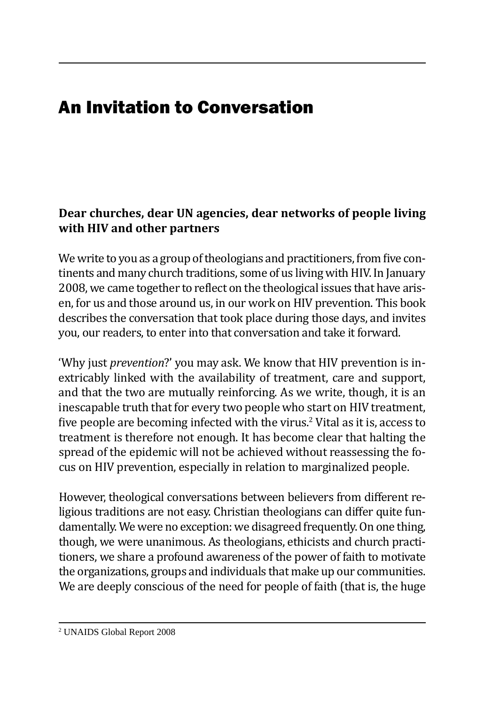# An Invitation to Conversation

## **Dear churches, dear UN agencies, dear networks of people living with HIV and other partners**

We write to you as a group of theologians and practitioners, from five continents and many church traditions, some of us living with HIV. In January 2008, we came together to reflect on the theological issues that have arisen, for us and those around us, in our work on HIV prevention. This book describes the conversation that took place during those days, and invites you, our readers, to enter into that conversation and take it forward.

'Why just *prevention*?' you may ask. We know that HIV prevention is inextricably linked with the availability of treatment, care and support, and that the two are mutually reinforcing. As we write, though, it is an inescapable truth that for every two people who start on HIV treatment, five people are becoming infected with the virus.<sup>2</sup> Vital as it is, access to treatment is therefore not enough. It has become clear that halting the spread of the epidemic will not be achieved without reassessing the focus on HIV prevention, especially in relation to marginalized people.

However, theological conversations between believers from different religious traditions are not easy. Christian theologians can differ quite fundamentally. We were no exception: we disagreed frequently. On one thing, though, we were unanimous. As theologians, ethicists and church practitioners, we share a profound awareness of the power of faith to motivate the organizations, groups and individuals that make up our communities. We are deeply conscious of the need for people of faith (that is, the huge

<sup>2</sup> UNAIDS Global Report 2008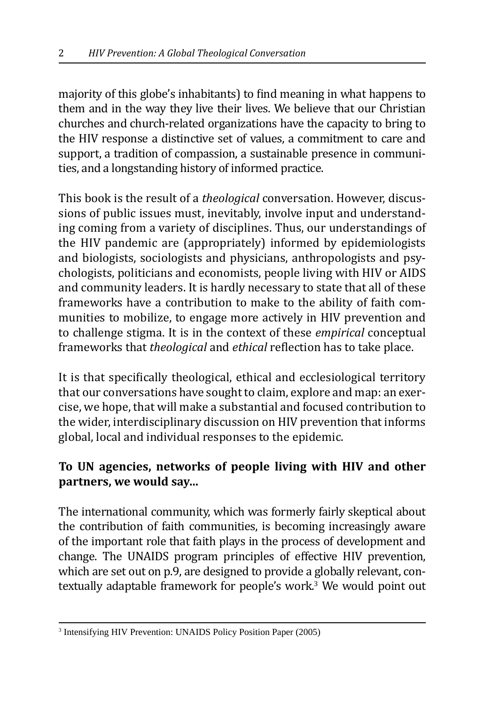majority of this globe's inhabitants) to find meaning in what happens to them and in the way they live their lives. We believe that our Christian churches and church-related organizations have the capacity to bring to the HIV response a distinctive set of values, a commitment to care and support, a tradition of compassion, a sustainable presence in communities, and a longstanding history of informed practice.

This book is the result of a *theological* conversation. However, discussions of public issues must, inevitably, involve input and understanding coming from a variety of disciplines. Thus, our understandings of the HIV pandemic are (appropriately) informed by epidemiologists and biologists, sociologists and physicians, anthropologists and psychologists, politicians and economists, people living with HIV or AIDS and community leaders. It is hardly necessary to state that all of these frameworks have a contribution to make to the ability of faith communities to mobilize, to engage more actively in HIV prevention and to challenge stigma. It is in the context of these *empirical* conceptual frameworks that *theological* and *ethical* reflection has to take place.

It is that specifically theological, ethical and ecclesiological territory that our conversations have sought to claim, explore and map: an exercise, we hope, that will make a substantial and focused contribution to the wider, interdisciplinary discussion on HIV prevention that informs global, local and individual responses to the epidemic.

## **To UN agencies, networks of people living with HIV and other partners, we would say…**

The international community, which was formerly fairly skeptical about the contribution of faith communities, is becoming increasingly aware of the important role that faith plays in the process of development and change. The UNAIDS program principles of effective HIV prevention, which are set out on p.9, are designed to provide a globally relevant, contextually adaptable framework for people's work.<sup>3</sup> We would point out

<sup>3</sup> Intensifying HIV Prevention: UNAIDS Policy Position Paper (2005)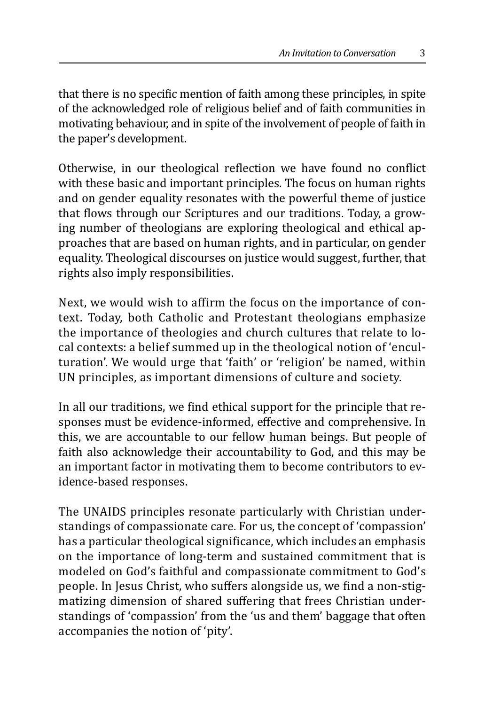that there is no specific mention of faith among these principles, in spite of the acknowledged role of religious belief and of faith communities in motivating behaviour, and in spite of the involvement of people of faith in the paper's development.

Otherwise, in our theological reflection we have found no conflict with these basic and important principles. The focus on human rights and on gender equality resonates with the powerful theme of justice that flows through our Scriptures and our traditions. Today, a growing number of theologians are exploring theological and ethical approaches that are based on human rights, and in particular, on gender equality. Theological discourses on justice would suggest, further, that rights also imply responsibilities.

Next, we would wish to affirm the focus on the importance of context. Today, both Catholic and Protestant theologians emphasize the importance of theologies and church cultures that relate to local contexts: a belief summed up in the theological notion of 'enculturation'. We would urge that 'faith' or 'religion' be named, within UN principles, as important dimensions of culture and society.

In all our traditions, we find ethical support for the principle that responses must be evidence-informed, effective and comprehensive. In this, we are accountable to our fellow human beings. But people of faith also acknowledge their accountability to God, and this may be an important factor in motivating them to become contributors to evidence-based responses.

The UNAIDS principles resonate particularly with Christian understandings of compassionate care. For us, the concept of 'compassion' has a particular theological significance, which includes an emphasis on the importance of long-term and sustained commitment that is modeled on God's faithful and compassionate commitment to God's people. In Jesus Christ, who suffers alongside us, we find a non-stigmatizing dimension of shared suffering that frees Christian understandings of 'compassion' from the 'us and them' baggage that often accompanies the notion of 'pity'.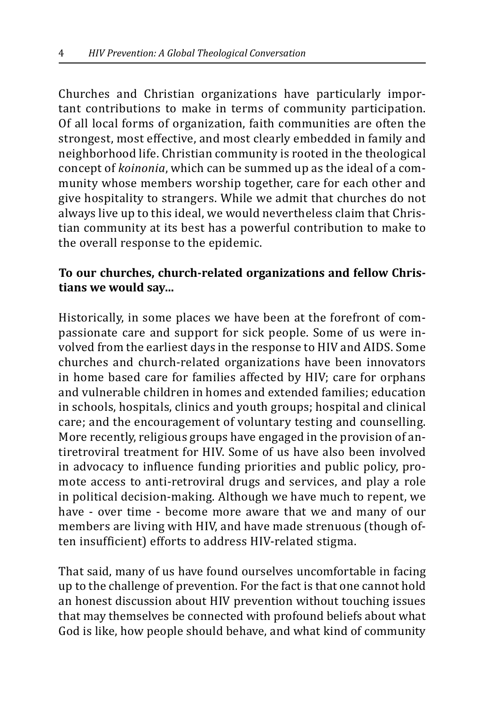Churches and Christian organizations have particularly important contributions to make in terms of community participation. Of all local forms of organization, faith communities are often the strongest, most effective, and most clearly embedded in family and neighborhood life. Christian community is rooted in the theological concept of *koinonia*, which can be summed up as the ideal of a community whose members worship together, care for each other and give hospitality to strangers. While we admit that churches do not always live up to this ideal, we would nevertheless claim that Christian community at its best has a powerful contribution to make to the overall response to the epidemic.

## **To our churches, church-related organizations and fellow Christians we would say…**

Historically, in some places we have been at the forefront of compassionate care and support for sick people. Some of us were involved from the earliest days in the response to HIV and AIDS. Some churches and church-related organizations have been innovators in home based care for families affected by HIV; care for orphans and vulnerable children in homes and extended families; education in schools, hospitals, clinics and youth groups; hospital and clinical care; and the encouragement of voluntary testing and counselling. More recently, religious groups have engaged in the provision of antiretroviral treatment for HIV. Some of us have also been involved in advocacy to influence funding priorities and public policy, promote access to anti-retroviral drugs and services, and play a role in political decision-making. Although we have much to repent, we have - over time - become more aware that we and many of our members are living with HIV, and have made strenuous (though often insufficient) efforts to address HIV-related stigma.

That said, many of us have found ourselves uncomfortable in facing up to the challenge of prevention. For the fact is that one cannot hold an honest discussion about HIV prevention without touching issues that may themselves be connected with profound beliefs about what God is like, how people should behave, and what kind of community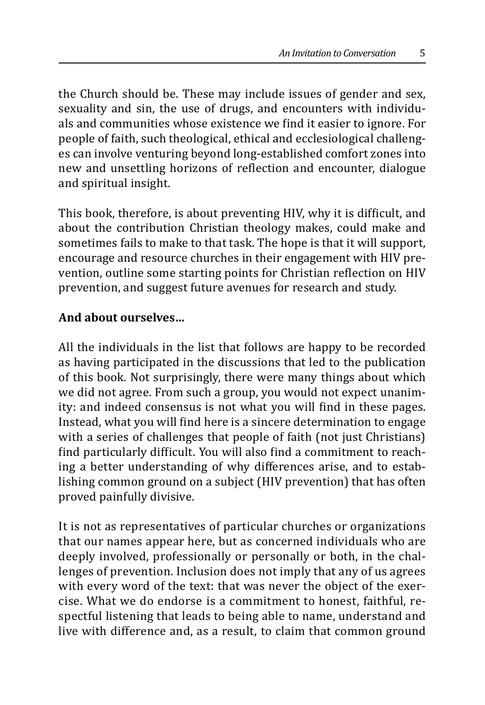the Church should be. These may include issues of gender and sex, sexuality and sin, the use of drugs, and encounters with individuals and communities whose existence we find it easier to ignore. For people of faith, such theological, ethical and ecclesiological challenges can involve venturing beyond long-established comfort zones into new and unsettling horizons of reflection and encounter, dialogue and spiritual insight.

This book, therefore, is about preventing HIV, why it is difficult, and about the contribution Christian theology makes, could make and sometimes fails to make to that task. The hope is that it will support, encourage and resource churches in their engagement with HIV prevention, outline some starting points for Christian reflection on HIV prevention, and suggest future avenues for research and study.

### **And about ourselves…**

All the individuals in the list that follows are happy to be recorded as having participated in the discussions that led to the publication of this book. Not surprisingly, there were many things about which we did not agree. From such a group, you would not expect unanimity: and indeed consensus is not what you will find in these pages. Instead, what you will find here is a sincere determination to engage with a series of challenges that people of faith (not just Christians) find particularly difficult. You will also find a commitment to reaching a better understanding of why differences arise, and to establishing common ground on a subject (HIV prevention) that has often proved painfully divisive.

It is not as representatives of particular churches or organizations that our names appear here, but as concerned individuals who are deeply involved, professionally or personally or both, in the challenges of prevention. Inclusion does not imply that any of us agrees with every word of the text: that was never the object of the exercise. What we do endorse is a commitment to honest, faithful, respectful listening that leads to being able to name, understand and live with difference and, as a result, to claim that common ground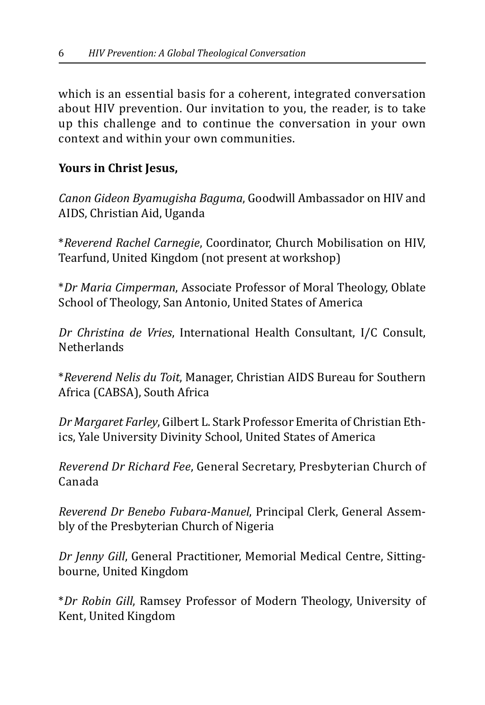which is an essential basis for a coherent, integrated conversation about HIV prevention. Our invitation to you, the reader, is to take up this challenge and to continue the conversation in your own context and within your own communities.

### **Yours in Christ Jesus,**

*Canon Gideon Byamugisha Baguma*, Goodwill Ambassador on HIV and AIDS, Christian Aid, Uganda

\**Reverend Rachel Carnegie*, Coordinator, Church Mobilisation on HIV, Tearfund, United Kingdom (not present at workshop)

\**Dr Maria Cimperman*, Associate Professor of Moral Theology, Oblate School of Theology, San Antonio, United States of America

*Dr Christina de Vries*, International Health Consultant, I/C Consult, **Netherlands** 

\**Reverend Nelis du Toit*, Manager, Christian AIDS Bureau for Southern Africa (CABSA), South Africa

*Dr Margaret Farley*, Gilbert L. Stark Professor Emerita of Christian Ethics, Yale University Divinity School, United States of America

*Reverend Dr Richard Fee*, General Secretary, Presbyterian Church of Canada

*Reverend Dr Benebo Fubara-Manuel*, Principal Clerk, General Assembly of the Presbyterian Church of Nigeria

*Dr Jenny Gill*, General Practitioner, Memorial Medical Centre, Sittingbourne, United Kingdom

\**Dr Robin Gill*, Ramsey Professor of Modern Theology, University of Kent, United Kingdom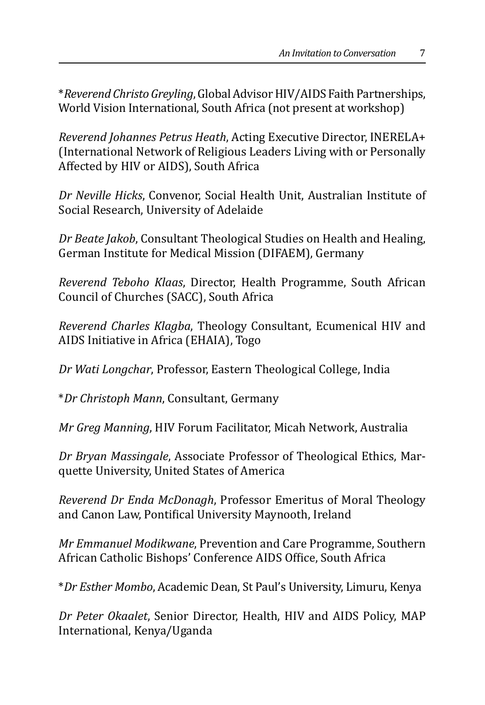\**Reverend Christo Greyling*, Global Advisor HIV/AIDS Faith Partnerships, World Vision International, South Africa (not present at workshop)

*Reverend Johannes Petrus Heath*, Acting Executive Director, INERELA+ (International Network of Religious Leaders Living with or Personally Affected by HIV or AIDS), South Africa

*Dr Neville Hicks*, Convenor, Social Health Unit, Australian Institute of Social Research, University of Adelaide

*Dr Beate Jakob*, Consultant Theological Studies on Health and Healing, German Institute for Medical Mission (DIFAEM), Germany

*Reverend Teboho Klaas*, Director, Health Programme, South African Council of Churches (SACC), South Africa

*Reverend Charles Klagba*, Theology Consultant, Ecumenical HIV and AIDS Initiative in Africa (EHAIA), Togo

*Dr Wati Longchar*, Professor, Eastern Theological College, India

\**Dr Christoph Mann*, Consultant, Germany

*Mr Greg Manning*, HIV Forum Facilitator, Micah Network, Australia

*Dr Bryan Massingale*, Associate Professor of Theological Ethics, Marquette University, United States of America

*Reverend Dr Enda McDonagh*, Professor Emeritus of Moral Theology and Canon Law, Pontifical University Maynooth, Ireland

*Mr Emmanuel Modikwane*, Prevention and Care Programme, Southern African Catholic Bishops' Conference AIDS Office, South Africa

\**Dr Esther Mombo*, Academic Dean, St Paul's University, Limuru, Kenya

*Dr Peter Okaalet*, Senior Director, Health, HIV and AIDS Policy, MAP International, Kenya/Uganda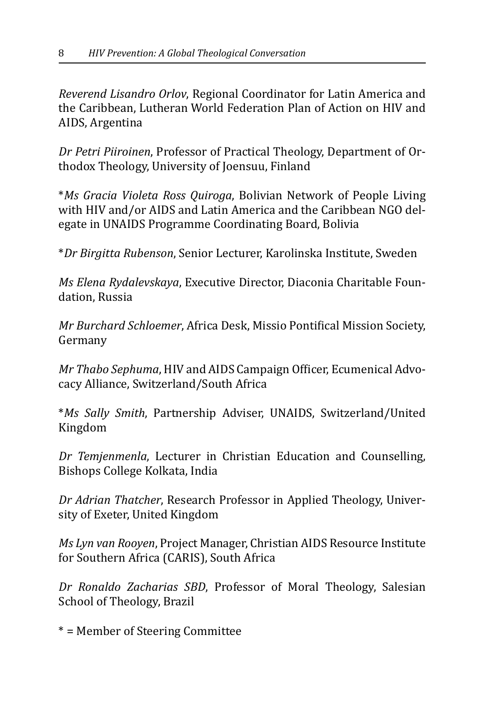*Reverend Lisandro Orlov*, Regional Coordinator for Latin America and the Caribbean, Lutheran World Federation Plan of Action on HIV and AIDS, Argentina

*Dr Petri Piiroinen*, Professor of Practical Theology, Department of Orthodox Theology, University of Joensuu, Finland

\**Ms Gracia Violeta Ross Quiroga*, Bolivian Network of People Living with HIV and/or AIDS and Latin America and the Caribbean NGO delegate in UNAIDS Programme Coordinating Board, Bolivia

\**Dr Birgitta Rubenson*, Senior Lecturer, Karolinska Institute, Sweden

*Ms Elena Rydalevskaya*, Executive Director, Diaconia Charitable Foundation, Russia

*Mr Burchard Schloemer*, Africa Desk, Missio Pontifical Mission Society, Germany

*Mr Thabo Sephuma*, HIV and AIDS Campaign Officer, Ecumenical Advocacy Alliance, Switzerland/South Africa

\**Ms Sally Smith*, Partnership Adviser, UNAIDS, Switzerland/United Kingdom

*Dr Temjenmenla*, Lecturer in Christian Education and Counselling, Bishops College Kolkata, India

*Dr Adrian Thatcher*, Research Professor in Applied Theology, University of Exeter, United Kingdom

*Ms Lyn van Rooyen*, Project Manager, Christian AIDS Resource Institute for Southern Africa (CARIS), South Africa

*Dr Ronaldo Zacharias SBD*, Professor of Moral Theology, Salesian School of Theology, Brazil

\* = Member of Steering Committee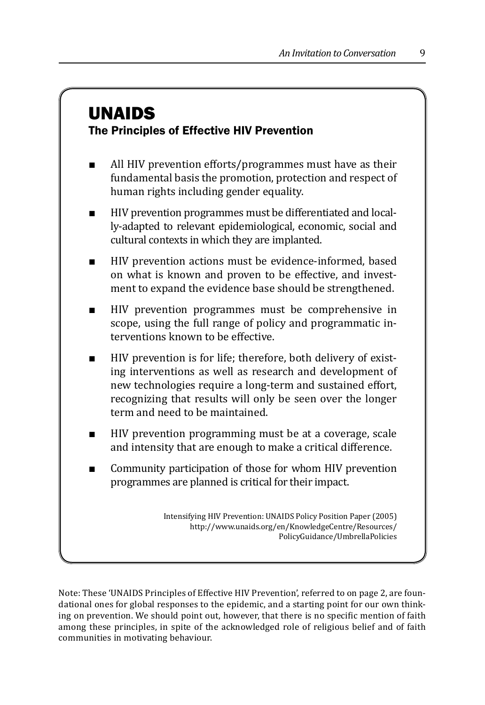## UNAIDS The Principles of Effective HIV Prevention

- All HIV prevention efforts/programmes must have as their fundamental basis the promotion, protection and respect of human rights including gender equality.
- HIV prevention programmes must be differentiated and locally-adapted to relevant epidemiological, economic, social and cultural contexts in which they are implanted.
- HIV prevention actions must be evidence-informed, based on what is known and proven to be effective, and investment to expand the evidence base should be strengthened.
- HIV prevention programmes must be comprehensive in scope, using the full range of policy and programmatic interventions known to be effective.
- HIV prevention is for life; therefore, both delivery of existing interventions as well as research and development of new technologies require a long-term and sustained effort, recognizing that results will only be seen over the longer term and need to be maintained.
- HIV prevention programming must be at a coverage, scale and intensity that are enough to make a critical difference.
- Community participation of those for whom HIV prevention programmes are planned is critical for their impact.

Intensifying HIV Prevention: UNAIDS Policy Position Paper (2005) http://www.unaids.org/en/KnowledgeCentre/Resources/ PolicyGuidance/UmbrellaPolicies

Note: These 'UNAIDS Principles of Effective HIV Prevention', referred to on page 2, are foundational ones for global responses to the epidemic, and a starting point for our own thinking on prevention. We should point out, however, that there is no specific mention of faith among these principles, in spite of the acknowledged role of religious belief and of faith communities in motivating behaviour.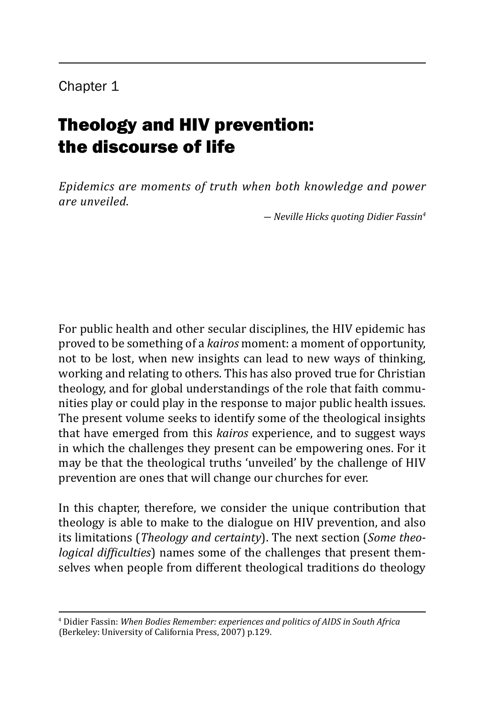## Chapter 1

# Theology and HIV prevention: the discourse of life

*Epidemics are moments of truth when both knowledge and power are unveiled.*

*― Neville Hicks quoting Didier Fassin<sup>4</sup>*

For public health and other secular disciplines, the HIV epidemic has proved to be something of a *kairos* moment: a moment of opportunity, not to be lost, when new insights can lead to new ways of thinking, working and relating to others. This has also proved true for Christian theology, and for global understandings of the role that faith communities play or could play in the response to major public health issues. The present volume seeks to identify some of the theological insights that have emerged from this *kairos* experience, and to suggest ways in which the challenges they present can be empowering ones. For it may be that the theological truths 'unveiled' by the challenge of HIV prevention are ones that will change our churches for ever.

In this chapter, therefore, we consider the unique contribution that theology is able to make to the dialogue on HIV prevention, and also its limitations (*Theology and certainty*). The next section (*Some theological difficulties*) names some of the challenges that present themselves when people from different theological traditions do theology

<sup>4</sup> Didier Fassin: *When Bodies Remember: experiences and politics of AIDS in South Africa*  (Berkeley: University of California Press, 2007) p.129.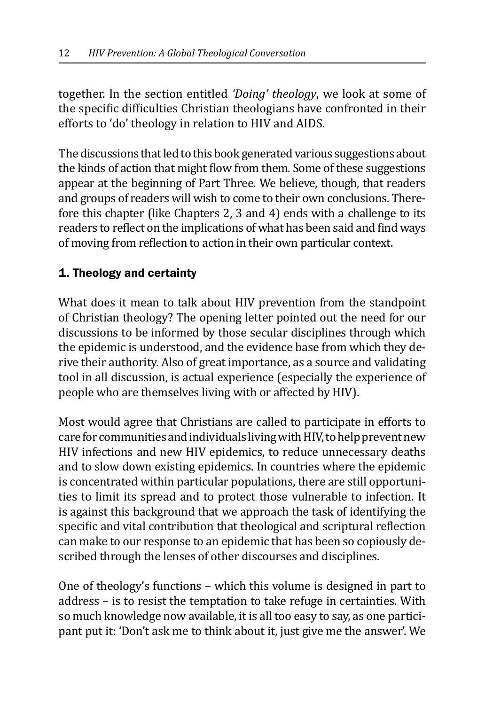together. In the section entitled *'Doing' theology*, we look at some of the specific difficulties Christian theologians have confronted in their efforts to 'do' theology in relation to HIV and AIDS.

The discussions that led to this book generated various suggestions about the kinds of action that might flow from them. Some of these suggestions appear at the beginning of Part Three. We believe, though, that readers and groups of readers will wish to come to their own conclusions. Therefore this chapter (like Chapters 2, 3 and 4) ends with a challenge to its readers to reflect on the implications of what has been said and find ways of moving from reflection to action in their own particular context.

## 1. Theology and certainty

What does it mean to talk about HIV prevention from the standpoint of Christian theology? The opening letter pointed out the need for our discussions to be informed by those secular disciplines through which the epidemic is understood, and the evidence base from which they derive their authority. Also of great importance, as a source and validating tool in all discussion, is actual experience (especially the experience of people who are themselves living with or affected by HIV).

Most would agree that Christians are called to participate in efforts to care for communities and individuals living with HIV, to help prevent new HIV infections and new HIV epidemics, to reduce unnecessary deaths and to slow down existing epidemics. In countries where the epidemic is concentrated within particular populations, there are still opportunities to limit its spread and to protect those vulnerable to infection. It is against this background that we approach the task of identifying the specific and vital contribution that theological and scriptural reflection can make to our response to an epidemic that has been so copiously described through the lenses of other discourses and disciplines.

One of theology's functions – which this volume is designed in part to address – is to resist the temptation to take refuge in certainties. With so much knowledge now available, it is all too easy to say, as one participant put it: 'Don't ask me to think about it, just give me the answer'. We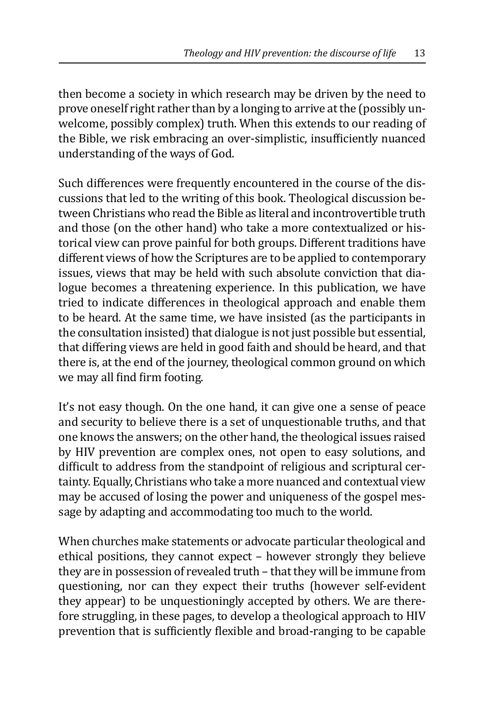then become a society in which research may be driven by the need to prove oneself right rather than by a longing to arrive at the (possibly unwelcome, possibly complex) truth. When this extends to our reading of the Bible, we risk embracing an over-simplistic, insufficiently nuanced understanding of the ways of God.

Such differences were frequently encountered in the course of the discussions that led to the writing of this book. Theological discussion between Christians who read the Bible as literal and incontrovertible truth and those (on the other hand) who take a more contextualized or historical view can prove painful for both groups. Different traditions have different views of how the Scriptures are to be applied to contemporary issues, views that may be held with such absolute conviction that dialogue becomes a threatening experience. In this publication, we have tried to indicate differences in theological approach and enable them to be heard. At the same time, we have insisted (as the participants in the consultation insisted) that dialogue is not just possible but essential, that differing views are held in good faith and should be heard, and that there is, at the end of the journey, theological common ground on which we may all find firm footing.

It's not easy though. On the one hand, it can give one a sense of peace and security to believe there is a set of unquestionable truths, and that one knows the answers; on the other hand, the theological issues raised by HIV prevention are complex ones, not open to easy solutions, and difficult to address from the standpoint of religious and scriptural certainty. Equally, Christians who take a more nuanced and contextual view may be accused of losing the power and uniqueness of the gospel message by adapting and accommodating too much to the world.

When churches make statements or advocate particular theological and ethical positions, they cannot expect – however strongly they believe they are in possession of revealed truth – that they will be immune from questioning, nor can they expect their truths (however self-evident they appear) to be unquestioningly accepted by others. We are therefore struggling, in these pages, to develop a theological approach to HIV prevention that is sufficiently flexible and broad-ranging to be capable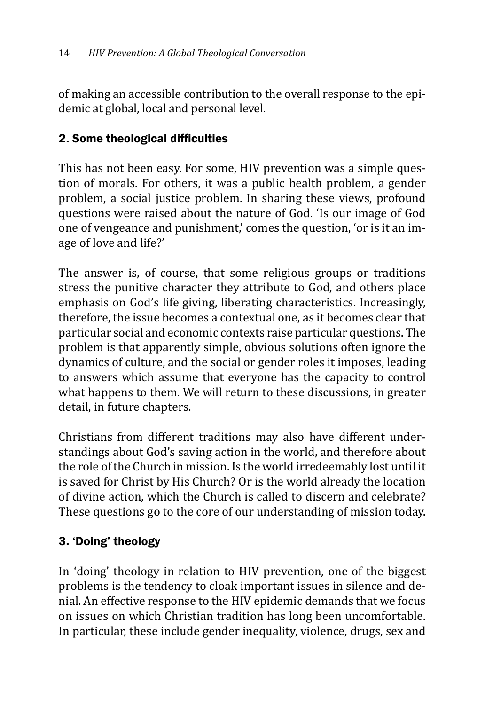of making an accessible contribution to the overall response to the epidemic at global, local and personal level.

### 2. Some theological difficulties

This has not been easy. For some, HIV prevention was a simple question of morals. For others, it was a public health problem, a gender problem, a social justice problem. In sharing these views, profound questions were raised about the nature of God. 'Is our image of God one of vengeance and punishment,' comes the question, 'or is it an image of love and life?'

The answer is, of course, that some religious groups or traditions stress the punitive character they attribute to God, and others place emphasis on God's life giving, liberating characteristics. Increasingly, therefore, the issue becomes a contextual one, as it becomes clear that particular social and economic contexts raise particular questions. The problem is that apparently simple, obvious solutions often ignore the dynamics of culture, and the social or gender roles it imposes, leading to answers which assume that everyone has the capacity to control what happens to them. We will return to these discussions, in greater detail, in future chapters.

Christians from different traditions may also have different understandings about God's saving action in the world, and therefore about the role of the Church in mission. Is the world irredeemably lost until it is saved for Christ by His Church? Or is the world already the location of divine action, which the Church is called to discern and celebrate? These questions go to the core of our understanding of mission today.

## 3. 'Doing' theology

In 'doing' theology in relation to HIV prevention, one of the biggest problems is the tendency to cloak important issues in silence and denial. An effective response to the HIV epidemic demands that we focus on issues on which Christian tradition has long been uncomfortable. In particular, these include gender inequality, violence, drugs, sex and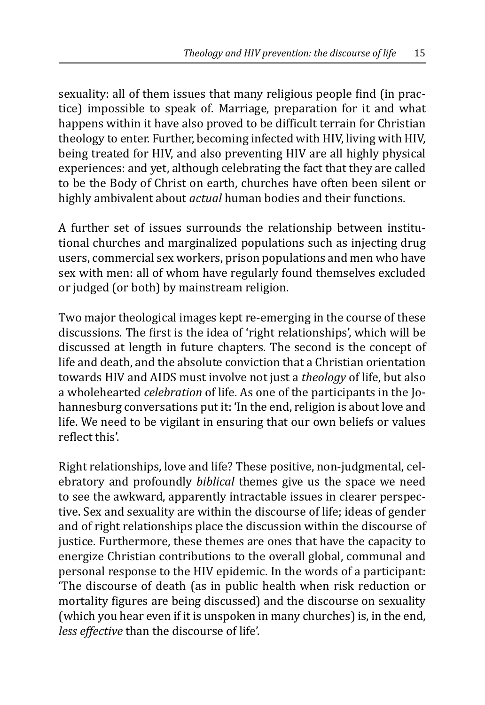sexuality: all of them issues that many religious people find (in practice) impossible to speak of. Marriage, preparation for it and what happens within it have also proved to be difficult terrain for Christian theology to enter. Further, becoming infected with HIV, living with HIV, being treated for HIV, and also preventing HIV are all highly physical experiences: and yet, although celebrating the fact that they are called to be the Body of Christ on earth, churches have often been silent or highly ambivalent about *actual* human bodies and their functions.

A further set of issues surrounds the relationship between institutional churches and marginalized populations such as injecting drug users, commercial sex workers, prison populations and men who have sex with men: all of whom have regularly found themselves excluded or judged (or both) by mainstream religion.

Two major theological images kept re-emerging in the course of these discussions. The first is the idea of 'right relationships', which will be discussed at length in future chapters. The second is the concept of life and death, and the absolute conviction that a Christian orientation towards HIV and AIDS must involve not just a *theology* of life, but also a wholehearted *celebration* of life. As one of the participants in the Johannesburg conversations put it: 'In the end, religion is about love and life. We need to be vigilant in ensuring that our own beliefs or values reflect this'.

Right relationships, love and life? These positive, non-judgmental, celebratory and profoundly *biblical* themes give us the space we need to see the awkward, apparently intractable issues in clearer perspective. Sex and sexuality are within the discourse of life; ideas of gender and of right relationships place the discussion within the discourse of justice. Furthermore, these themes are ones that have the capacity to energize Christian contributions to the overall global, communal and personal response to the HIV epidemic. In the words of a participant: 'The discourse of death (as in public health when risk reduction or mortality figures are being discussed) and the discourse on sexuality (which you hear even if it is unspoken in many churches) is, in the end, *less effective* than the discourse of life'.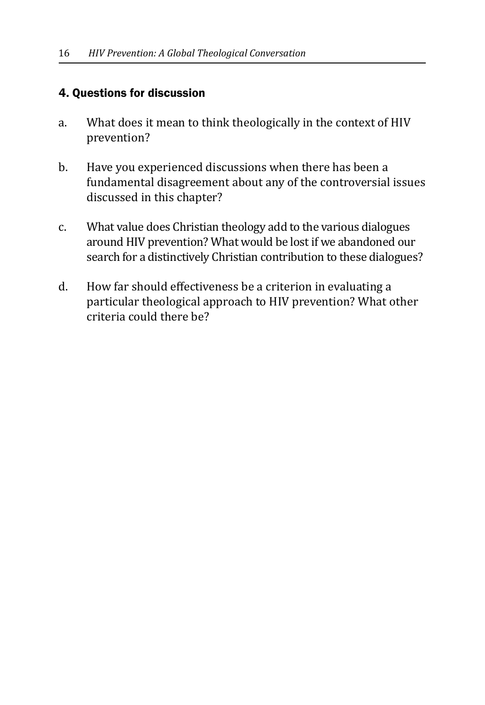#### 4. Questions for discussion

- a. What does it mean to think theologically in the context of HIV prevention?
- b. Have you experienced discussions when there has been a fundamental disagreement about any of the controversial issues discussed in this chapter?
- c. What value does Christian theology add to the various dialogues around HIV prevention? What would be lost if we abandoned our search for a distinctively Christian contribution to these dialogues?
- d. How far should effectiveness be a criterion in evaluating a particular theological approach to HIV prevention? What other criteria could there be?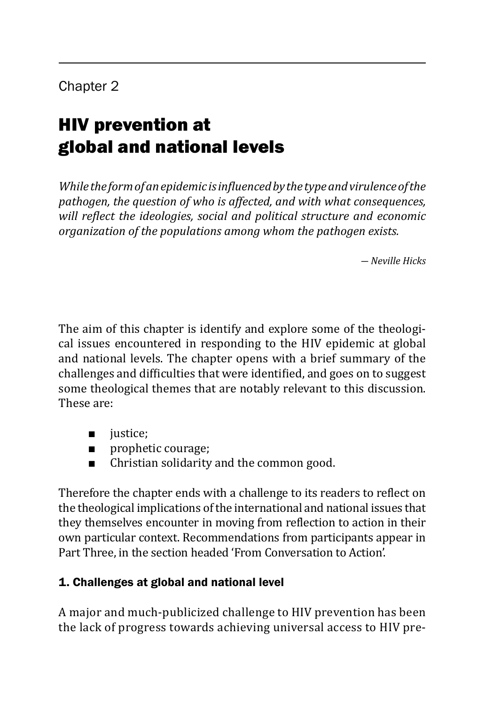## Chapter 2

# HIV prevention at global and national levels

*While the form of an epidemic is influenced by the type and virulence of the pathogen, the question of who is affected, and with what consequences, will reflect the ideologies, social and political structure and economic organization of the populations among whom the pathogen exists.*

*― Neville Hicks* 

The aim of this chapter is identify and explore some of the theological issues encountered in responding to the HIV epidemic at global and national levels. The chapter opens with a brief summary of the challenges and difficulties that were identified, and goes on to suggest some theological themes that are notably relevant to this discussion. These are:

- justice;
- prophetic courage;
- Christian solidarity and the common good.

Therefore the chapter ends with a challenge to its readers to reflect on the theological implications of the international and national issues that they themselves encounter in moving from reflection to action in their own particular context. Recommendations from participants appear in Part Three, in the section headed 'From Conversation to Action'.

## 1. Challenges at global and national level

A major and much-publicized challenge to HIV prevention has been the lack of progress towards achieving universal access to HIV pre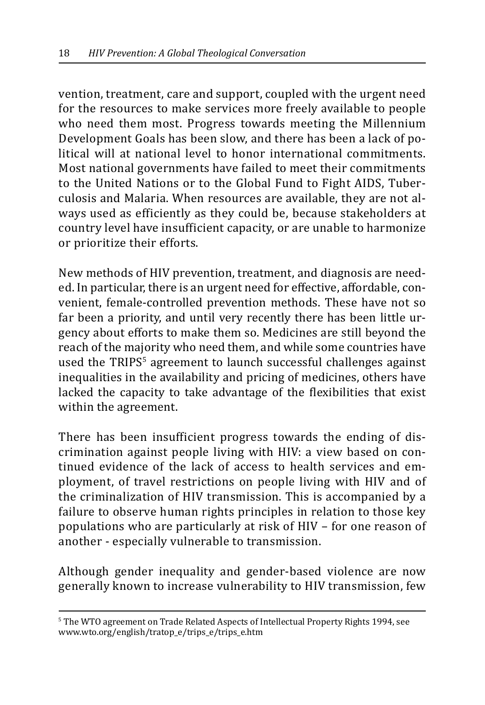vention, treatment, care and support, coupled with the urgent need for the resources to make services more freely available to people who need them most. Progress towards meeting the Millennium Development Goals has been slow, and there has been a lack of political will at national level to honor international commitments. Most national governments have failed to meet their commitments to the United Nations or to the Global Fund to Fight AIDS, Tuberculosis and Malaria. When resources are available, they are not always used as efficiently as they could be, because stakeholders at country level have insufficient capacity, or are unable to harmonize or prioritize their efforts.

New methods of HIV prevention, treatment, and diagnosis are needed. In particular, there is an urgent need for effective, affordable, convenient, female-controlled prevention methods. These have not so far been a priority, and until very recently there has been little urgency about efforts to make them so. Medicines are still beyond the reach of the majority who need them, and while some countries have used the TRIPS<sup>5</sup> agreement to launch successful challenges against inequalities in the availability and pricing of medicines, others have lacked the capacity to take advantage of the flexibilities that exist within the agreement.

There has been insufficient progress towards the ending of discrimination against people living with HIV: a view based on continued evidence of the lack of access to health services and employment, of travel restrictions on people living with HIV and of the criminalization of HIV transmission. This is accompanied by a failure to observe human rights principles in relation to those key populations who are particularly at risk of HIV – for one reason of another - especially vulnerable to transmission.

Although gender inequality and gender-based violence are now generally known to increase vulnerability to HIV transmission, few

<sup>5</sup> The WTO agreement on Trade Related Aspects of Intellectual Property Rights 1994, see www.wto.org/english/tratop\_e/trips\_e/trips\_e.htm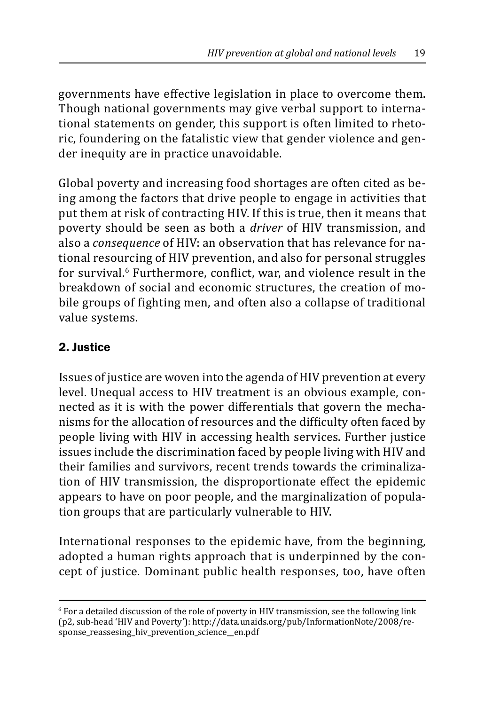governments have effective legislation in place to overcome them. Though national governments may give verbal support to international statements on gender, this support is often limited to rhetoric, foundering on the fatalistic view that gender violence and gender inequity are in practice unavoidable.

Global poverty and increasing food shortages are often cited as being among the factors that drive people to engage in activities that put them at risk of contracting HIV. If this is true, then it means that poverty should be seen as both a *driver* of HIV transmission, and also a *consequence* of HIV: an observation that has relevance for national resourcing of HIV prevention, and also for personal struggles for survival.6 Furthermore, conflict, war, and violence result in the breakdown of social and economic structures, the creation of mobile groups of fighting men, and often also a collapse of traditional value systems.

## 2. Justice

Issues of justice are woven into the agenda of HIV prevention at every level. Unequal access to HIV treatment is an obvious example, connected as it is with the power differentials that govern the mechanisms for the allocation of resources and the difficulty often faced by people living with HIV in accessing health services. Further justice issues include the discrimination faced by people living with HIV and their families and survivors, recent trends towards the criminalization of HIV transmission, the disproportionate effect the epidemic appears to have on poor people, and the marginalization of population groups that are particularly vulnerable to HIV.

International responses to the epidemic have, from the beginning, adopted a human rights approach that is underpinned by the concept of justice. Dominant public health responses, too, have often

<sup>6</sup> For a detailed discussion of the role of poverty in HIV transmission, see the following link (p2, sub-head 'HIV and Poverty'): http://data.unaids.org/pub/InformationNote/2008/response\_reassesing\_hiv\_prevention\_science\_\_en.pdf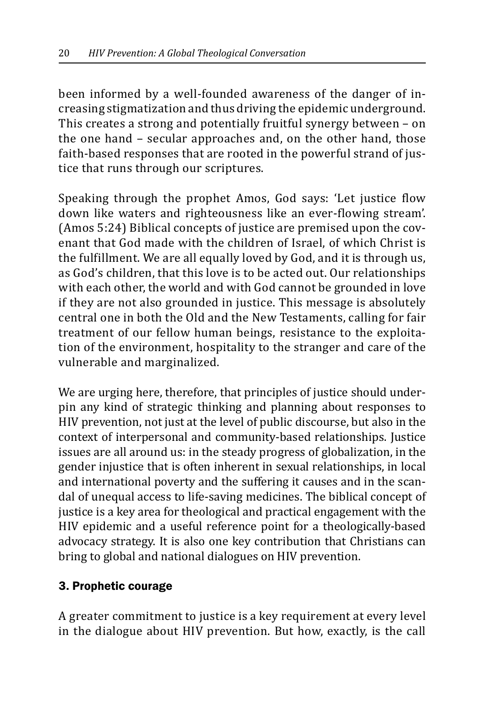been informed by a well-founded awareness of the danger of increasing stigmatization and thus driving the epidemic underground. This creates a strong and potentially fruitful synergy between – on the one hand – secular approaches and, on the other hand, those faith-based responses that are rooted in the powerful strand of justice that runs through our scriptures.

Speaking through the prophet Amos, God says: 'Let justice flow down like waters and righteousness like an ever-flowing stream'. (Amos 5:24) Biblical concepts of justice are premised upon the covenant that God made with the children of Israel, of which Christ is the fulfillment. We are all equally loved by God, and it is through us, as God's children, that this love is to be acted out. Our relationships with each other, the world and with God cannot be grounded in love if they are not also grounded in justice. This message is absolutely central one in both the Old and the New Testaments, calling for fair treatment of our fellow human beings, resistance to the exploitation of the environment, hospitality to the stranger and care of the vulnerable and marginalized.

We are urging here, therefore, that principles of justice should underpin any kind of strategic thinking and planning about responses to HIV prevention, not just at the level of public discourse, but also in the context of interpersonal and community-based relationships. Justice issues are all around us: in the steady progress of globalization, in the gender injustice that is often inherent in sexual relationships, in local and international poverty and the suffering it causes and in the scandal of unequal access to life-saving medicines. The biblical concept of justice is a key area for theological and practical engagement with the HIV epidemic and a useful reference point for a theologically-based advocacy strategy. It is also one key contribution that Christians can bring to global and national dialogues on HIV prevention.

## 3. Prophetic courage

A greater commitment to justice is a key requirement at every level in the dialogue about HIV prevention. But how, exactly, is the call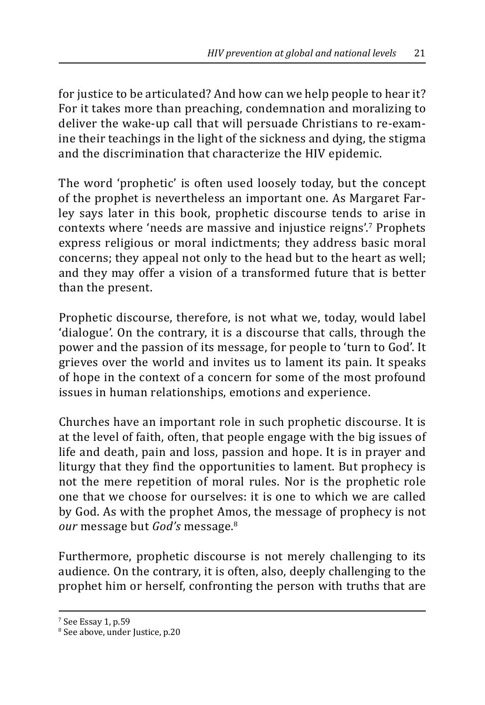for justice to be articulated? And how can we help people to hear it? For it takes more than preaching, condemnation and moralizing to deliver the wake-up call that will persuade Christians to re-examine their teachings in the light of the sickness and dying, the stigma and the discrimination that characterize the HIV epidemic.

The word 'prophetic' is often used loosely today, but the concept of the prophet is nevertheless an important one. As Margaret Farley says later in this book, prophetic discourse tends to arise in contexts where 'needs are massive and injustice reigns'.7 Prophets express religious or moral indictments; they address basic moral concerns; they appeal not only to the head but to the heart as well; and they may offer a vision of a transformed future that is better than the present.

Prophetic discourse, therefore, is not what we, today, would label 'dialogue'. On the contrary, it is a discourse that calls, through the power and the passion of its message, for people to 'turn to God'. It grieves over the world and invites us to lament its pain. It speaks of hope in the context of a concern for some of the most profound issues in human relationships, emotions and experience.

Churches have an important role in such prophetic discourse. It is at the level of faith, often, that people engage with the big issues of life and death, pain and loss, passion and hope. It is in prayer and liturgy that they find the opportunities to lament. But prophecy is not the mere repetition of moral rules. Nor is the prophetic role one that we choose for ourselves: it is one to which we are called by God. As with the prophet Amos, the message of prophecy is not *our* message but *God's* message.<sup>8</sup>

Furthermore, prophetic discourse is not merely challenging to its audience. On the contrary, it is often, also, deeply challenging to the prophet him or herself, confronting the person with truths that are

 $\frac{7}{2}$  See Essay 1, p.59

<sup>8</sup> See above, under Justice, p.20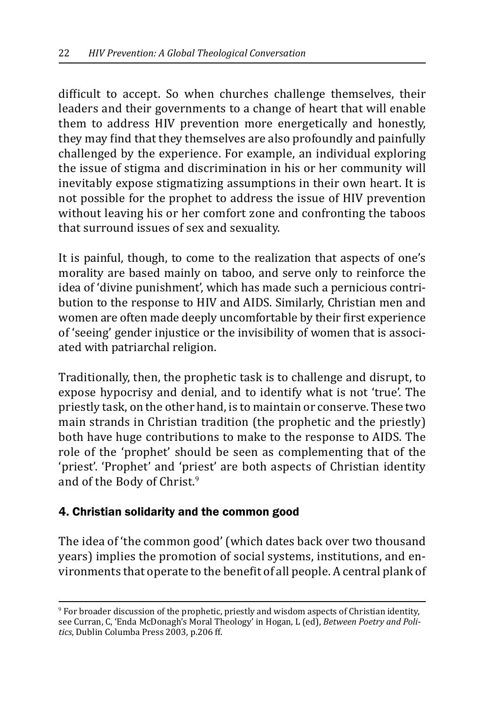difficult to accept. So when churches challenge themselves, their leaders and their governments to a change of heart that will enable them to address HIV prevention more energetically and honestly, they may find that they themselves are also profoundly and painfully challenged by the experience. For example, an individual exploring the issue of stigma and discrimination in his or her community will inevitably expose stigmatizing assumptions in their own heart. It is not possible for the prophet to address the issue of HIV prevention without leaving his or her comfort zone and confronting the taboos that surround issues of sex and sexuality.

It is painful, though, to come to the realization that aspects of one's morality are based mainly on taboo, and serve only to reinforce the idea of 'divine punishment', which has made such a pernicious contribution to the response to HIV and AIDS. Similarly, Christian men and women are often made deeply uncomfortable by their first experience of 'seeing' gender injustice or the invisibility of women that is associated with patriarchal religion.

Traditionally, then, the prophetic task is to challenge and disrupt, to expose hypocrisy and denial, and to identify what is not 'true'. The priestly task, on the other hand, is to maintain or conserve. These two main strands in Christian tradition (the prophetic and the priestly) both have huge contributions to make to the response to AIDS. The role of the 'prophet' should be seen as complementing that of the 'priest'. 'Prophet' and 'priest' are both aspects of Christian identity and of the Body of Christ.<sup>9</sup>

## 4. Christian solidarity and the common good

The idea of 'the common good' (which dates back over two thousand years) implies the promotion of social systems, institutions, and environments that operate to the benefit of all people. A central plank of

<sup>9</sup> For broader discussion of the prophetic, priestly and wisdom aspects of Christian identity, see Curran, C, 'Enda McDonagh's Moral Theology' in Hogan, L (ed), *Between Poetry and Politics*, Dublin Columba Press 2003, p.206 ff.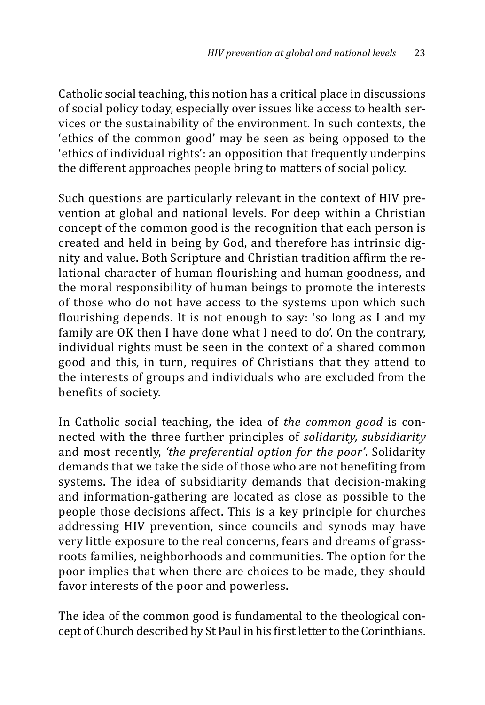Catholic social teaching, this notion has a critical place in discussions of social policy today, especially over issues like access to health services or the sustainability of the environment. In such contexts, the 'ethics of the common good' may be seen as being opposed to the 'ethics of individual rights': an opposition that frequently underpins the different approaches people bring to matters of social policy.

Such questions are particularly relevant in the context of HIV prevention at global and national levels. For deep within a Christian concept of the common good is the recognition that each person is created and held in being by God, and therefore has intrinsic dignity and value. Both Scripture and Christian tradition affirm the relational character of human flourishing and human goodness, and the moral responsibility of human beings to promote the interests of those who do not have access to the systems upon which such flourishing depends. It is not enough to say: 'so long as I and my family are OK then I have done what I need to do'. On the contrary, individual rights must be seen in the context of a shared common good and this, in turn, requires of Christians that they attend to the interests of groups and individuals who are excluded from the benefits of society.

In Catholic social teaching, the idea of *the common good* is connected with the three further principles of *solidarity, subsidiarity* and most recently, *'the preferential option for the poor'*. Solidarity demands that we take the side of those who are not benefiting from systems. The idea of subsidiarity demands that decision-making and information-gathering are located as close as possible to the people those decisions affect. This is a key principle for churches addressing HIV prevention, since councils and synods may have very little exposure to the real concerns, fears and dreams of grassroots families, neighborhoods and communities. The option for the poor implies that when there are choices to be made, they should favor interests of the poor and powerless.

The idea of the common good is fundamental to the theological concept of Church described by St Paul in his first letter to the Corinthians.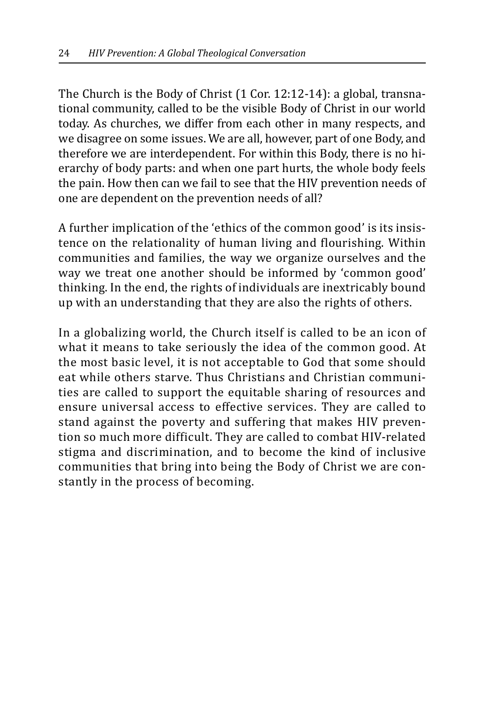The Church is the Body of Christ (1 Cor. 12:12-14): a global, transnational community, called to be the visible Body of Christ in our world today. As churches, we differ from each other in many respects, and we disagree on some issues. We are all, however, part of one Body, and therefore we are interdependent. For within this Body, there is no hierarchy of body parts: and when one part hurts, the whole body feels the pain. How then can we fail to see that the HIV prevention needs of one are dependent on the prevention needs of all?

A further implication of the 'ethics of the common good' is its insistence on the relationality of human living and flourishing. Within communities and families, the way we organize ourselves and the way we treat one another should be informed by 'common good' thinking. In the end, the rights of individuals are inextricably bound up with an understanding that they are also the rights of others.

In a globalizing world, the Church itself is called to be an icon of what it means to take seriously the idea of the common good. At the most basic level, it is not acceptable to God that some should eat while others starve. Thus Christians and Christian communities are called to support the equitable sharing of resources and ensure universal access to effective services. They are called to stand against the poverty and suffering that makes HIV prevention so much more difficult. They are called to combat HIV-related stigma and discrimination, and to become the kind of inclusive communities that bring into being the Body of Christ we are constantly in the process of becoming.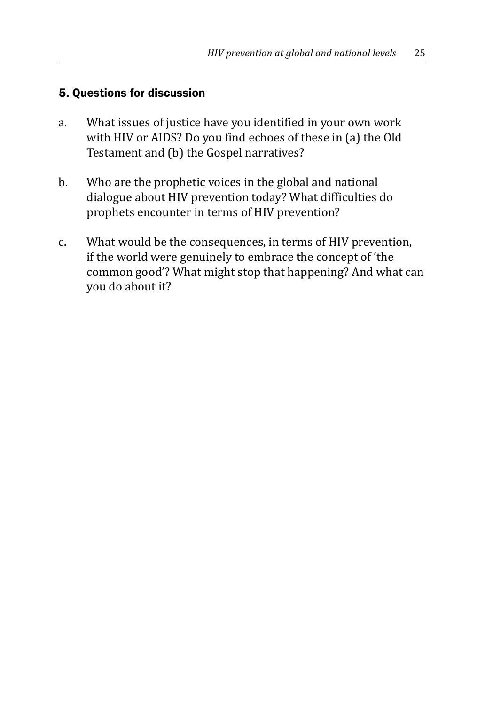#### 5. Questions for discussion

- a. What issues of justice have you identified in your own work with HIV or AIDS? Do you find echoes of these in (a) the Old Testament and (b) the Gospel narratives?
- b. Who are the prophetic voices in the global and national dialogue about HIV prevention today? What difficulties do prophets encounter in terms of HIV prevention?
- c. What would be the consequences, in terms of HIV prevention, if the world were genuinely to embrace the concept of 'the common good'? What might stop that happening? And what can you do about it?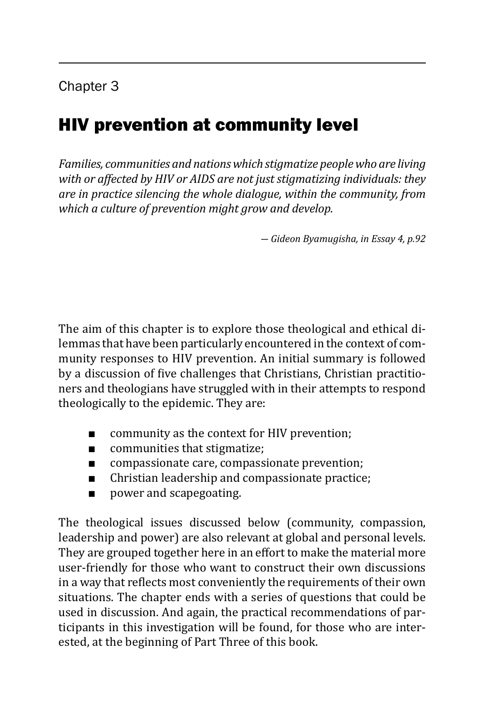## Chapter 3

# HIV prevention at community level

*Families, communities and nations which stigmatize people who are living with or affected by HIV or AIDS are not just stigmatizing individuals: they are in practice silencing the whole dialogue, within the community, from which a culture of prevention might grow and develop.*

*― Gideon Byamugisha, in Essay 4, p.92*

The aim of this chapter is to explore those theological and ethical dilemmas that have been particularly encountered in the context of community responses to HIV prevention. An initial summary is followed by a discussion of five challenges that Christians, Christian practitioners and theologians have struggled with in their attempts to respond theologically to the epidemic. They are:

- community as the context for HIV prevention;
- communities that stigmatize;
- compassionate care, compassionate prevention;
- Christian leadership and compassionate practice;
- power and scapegoating.

The theological issues discussed below (community, compassion, leadership and power) are also relevant at global and personal levels. They are grouped together here in an effort to make the material more user-friendly for those who want to construct their own discussions in a way that reflects most conveniently the requirements of their own situations. The chapter ends with a series of questions that could be used in discussion. And again, the practical recommendations of participants in this investigation will be found, for those who are interested, at the beginning of Part Three of this book.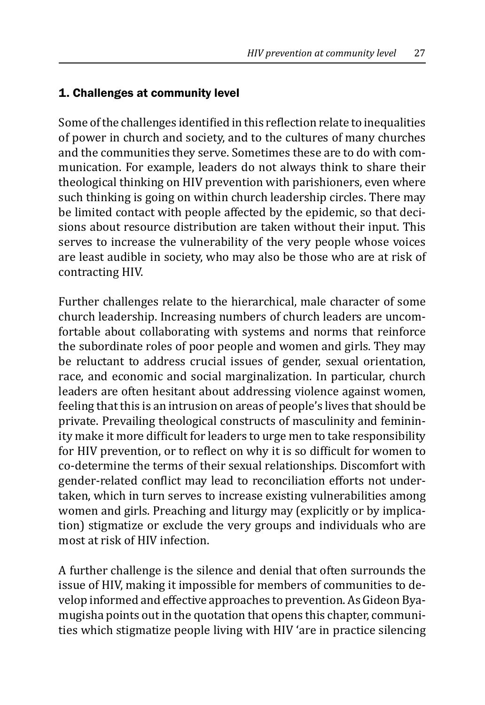### 1. Challenges at community level

Some of the challenges identified in this reflection relate to inequalities of power in church and society, and to the cultures of many churches and the communities they serve. Sometimes these are to do with communication. For example, leaders do not always think to share their theological thinking on HIV prevention with parishioners, even where such thinking is going on within church leadership circles. There may be limited contact with people affected by the epidemic, so that decisions about resource distribution are taken without their input. This serves to increase the vulnerability of the very people whose voices are least audible in society, who may also be those who are at risk of contracting HIV.

Further challenges relate to the hierarchical, male character of some church leadership. Increasing numbers of church leaders are uncomfortable about collaborating with systems and norms that reinforce the subordinate roles of poor people and women and girls. They may be reluctant to address crucial issues of gender, sexual orientation, race, and economic and social marginalization. In particular, church leaders are often hesitant about addressing violence against women, feeling that this is an intrusion on areas of people's lives that should be private. Prevailing theological constructs of masculinity and femininity make it more difficult for leaders to urge men to take responsibility for HIV prevention, or to reflect on why it is so difficult for women to co-determine the terms of their sexual relationships. Discomfort with gender-related conflict may lead to reconciliation efforts not undertaken, which in turn serves to increase existing vulnerabilities among women and girls. Preaching and liturgy may (explicitly or by implication) stigmatize or exclude the very groups and individuals who are most at risk of HIV infection.

A further challenge is the silence and denial that often surrounds the issue of HIV, making it impossible for members of communities to develop informed and effective approaches to prevention. As Gideon Byamugisha points out in the quotation that opens this chapter, communities which stigmatize people living with HIV 'are in practice silencing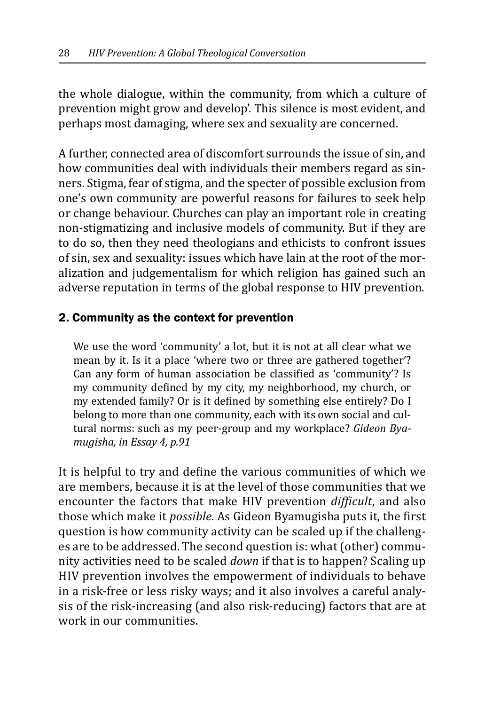the whole dialogue, within the community, from which a culture of prevention might grow and develop'. This silence is most evident, and perhaps most damaging, where sex and sexuality are concerned.

A further, connected area of discomfort surrounds the issue of sin, and how communities deal with individuals their members regard as sinners. Stigma, fear of stigma, and the specter of possible exclusion from one's own community are powerful reasons for failures to seek help or change behaviour. Churches can play an important role in creating non-stigmatizing and inclusive models of community. But if they are to do so, then they need theologians and ethicists to confront issues of sin, sex and sexuality: issues which have lain at the root of the moralization and judgementalism for which religion has gained such an adverse reputation in terms of the global response to HIV prevention.

### 2. Community as the context for prevention

We use the word 'community' a lot, but it is not at all clear what we mean by it. Is it a place 'where two or three are gathered together'? Can any form of human association be classified as 'community'? Is my community defined by my city, my neighborhood, my church, or my extended family? Or is it defined by something else entirely? Do I belong to more than one community, each with its own social and cultural norms: such as my peer-group and my workplace? *Gideon Byamugisha, in Essay 4, p.91*

It is helpful to try and define the various communities of which we are members, because it is at the level of those communities that we encounter the factors that make HIV prevention *difficult*, and also those which make it *possible*. As Gideon Byamugisha puts it, the first question is how community activity can be scaled up if the challenges are to be addressed. The second question is: what (other) community activities need to be scaled *down* if that is to happen? Scaling up HIV prevention involves the empowerment of individuals to behave in a risk-free or less risky ways; and it also involves a careful analysis of the risk-increasing (and also risk-reducing) factors that are at work in our communities.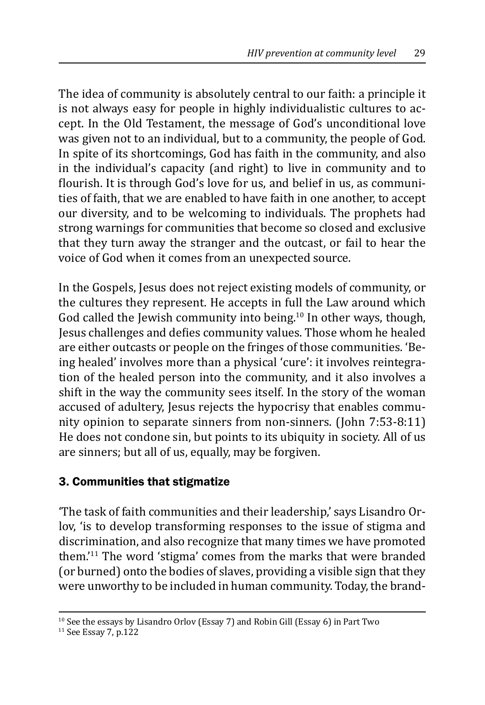The idea of community is absolutely central to our faith: a principle it is not always easy for people in highly individualistic cultures to accept. In the Old Testament, the message of God's unconditional love was given not to an individual, but to a community, the people of God. In spite of its shortcomings, God has faith in the community, and also in the individual's capacity (and right) to live in community and to flourish. It is through God's love for us, and belief in us, as communities of faith, that we are enabled to have faith in one another, to accept our diversity, and to be welcoming to individuals. The prophets had strong warnings for communities that become so closed and exclusive that they turn away the stranger and the outcast, or fail to hear the voice of God when it comes from an unexpected source.

In the Gospels, Jesus does not reject existing models of community, or the cultures they represent. He accepts in full the Law around which God called the Jewish community into being.<sup>10</sup> In other ways, though, Jesus challenges and defies community values. Those whom he healed are either outcasts or people on the fringes of those communities. 'Being healed' involves more than a physical 'cure': it involves reintegration of the healed person into the community, and it also involves a shift in the way the community sees itself. In the story of the woman accused of adultery, Jesus rejects the hypocrisy that enables community opinion to separate sinners from non-sinners. (John 7:53-8:11) He does not condone sin, but points to its ubiquity in society. All of us are sinners; but all of us, equally, may be forgiven.

## 3. Communities that stigmatize

'The task of faith communities and their leadership,' says Lisandro Orlov, 'is to develop transforming responses to the issue of stigma and discrimination, and also recognize that many times we have promoted them.'11 The word 'stigma' comes from the marks that were branded (or burned) onto the bodies of slaves, providing a visible sign that they were unworthy to be included in human community. Today, the brand-

<sup>&</sup>lt;sup>10</sup> See the essays by Lisandro Orlov (Essay 7) and Robin Gill (Essay 6) in Part Two

<sup>11</sup> See Essay 7, p.122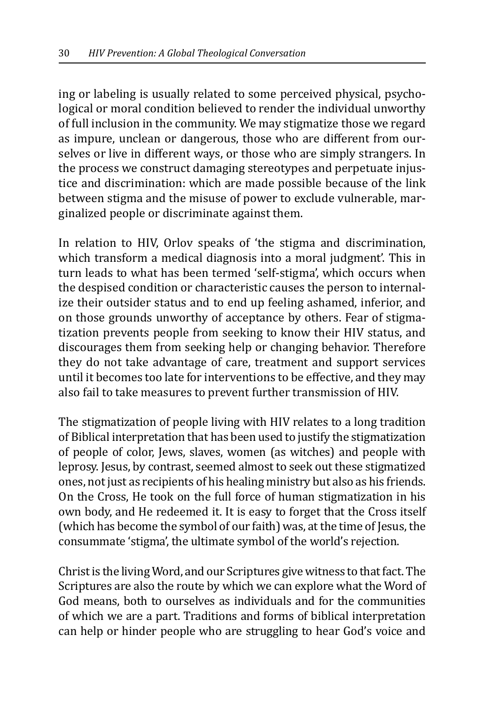ing or labeling is usually related to some perceived physical, psychological or moral condition believed to render the individual unworthy of full inclusion in the community. We may stigmatize those we regard as impure, unclean or dangerous, those who are different from ourselves or live in different ways, or those who are simply strangers. In the process we construct damaging stereotypes and perpetuate injustice and discrimination: which are made possible because of the link between stigma and the misuse of power to exclude vulnerable, marginalized people or discriminate against them.

In relation to HIV, Orlov speaks of 'the stigma and discrimination, which transform a medical diagnosis into a moral judgment'. This in turn leads to what has been termed 'self-stigma', which occurs when the despised condition or characteristic causes the person to internalize their outsider status and to end up feeling ashamed, inferior, and on those grounds unworthy of acceptance by others. Fear of stigmatization prevents people from seeking to know their HIV status, and discourages them from seeking help or changing behavior. Therefore they do not take advantage of care, treatment and support services until it becomes too late for interventions to be effective, and they may also fail to take measures to prevent further transmission of HIV.

The stigmatization of people living with HIV relates to a long tradition of Biblical interpretation that has been used to justify the stigmatization of people of color, Jews, slaves, women (as witches) and people with leprosy. Jesus, by contrast, seemed almost to seek out these stigmatized ones, not just as recipients of his healing ministry but also as his friends. On the Cross, He took on the full force of human stigmatization in his own body, and He redeemed it. It is easy to forget that the Cross itself (which has become the symbol of our faith) was, at the time of Jesus, the consummate 'stigma', the ultimate symbol of the world's rejection.

Christ is the living Word, and our Scriptures give witness to that fact. The Scriptures are also the route by which we can explore what the Word of God means, both to ourselves as individuals and for the communities of which we are a part. Traditions and forms of biblical interpretation can help or hinder people who are struggling to hear God's voice and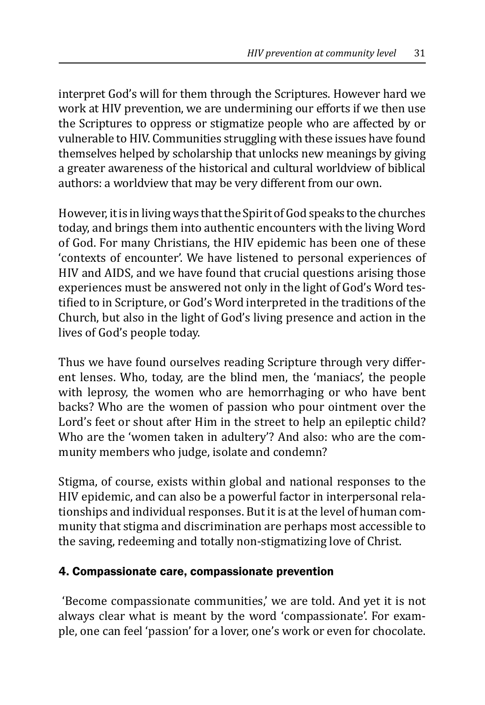interpret God's will for them through the Scriptures. However hard we work at HIV prevention, we are undermining our efforts if we then use the Scriptures to oppress or stigmatize people who are affected by or vulnerable to HIV. Communities struggling with these issues have found themselves helped by scholarship that unlocks new meanings by giving a greater awareness of the historical and cultural worldview of biblical authors: a worldview that may be very different from our own.

However, it is in living ways that the Spirit of God speaks to the churches today, and brings them into authentic encounters with the living Word of God. For many Christians, the HIV epidemic has been one of these 'contexts of encounter'. We have listened to personal experiences of HIV and AIDS, and we have found that crucial questions arising those experiences must be answered not only in the light of God's Word testified to in Scripture, or God's Word interpreted in the traditions of the Church, but also in the light of God's living presence and action in the lives of God's people today.

Thus we have found ourselves reading Scripture through very different lenses. Who, today, are the blind men, the 'maniacs', the people with leprosy, the women who are hemorrhaging or who have bent backs? Who are the women of passion who pour ointment over the Lord's feet or shout after Him in the street to help an epileptic child? Who are the 'women taken in adultery'? And also: who are the community members who judge, isolate and condemn?

Stigma, of course, exists within global and national responses to the HIV epidemic, and can also be a powerful factor in interpersonal relationships and individual responses. But it is at the level of human community that stigma and discrimination are perhaps most accessible to the saving, redeeming and totally non-stigmatizing love of Christ.

### 4. Compassionate care, compassionate prevention

 'Become compassionate communities,' we are told. And yet it is not always clear what is meant by the word 'compassionate'. For example, one can feel 'passion' for a lover, one's work or even for chocolate.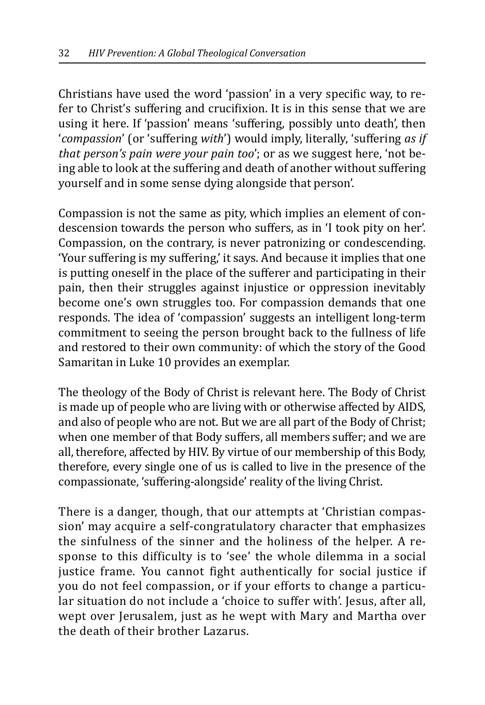Christians have used the word 'passion' in a very specific way, to refer to Christ's suffering and crucifixion. It is in this sense that we are using it here. If 'passion' means 'suffering, possibly unto death', then '*compassion*' (or 'suffering *with*') would imply, literally, 'suffering *as if that person's pain were your pain too*'; or as we suggest here, 'not being able to look at the suffering and death of another without suffering yourself and in some sense dying alongside that person'.

Compassion is not the same as pity, which implies an element of condescension towards the person who suffers, as in 'I took pity on her'. Compassion, on the contrary, is never patronizing or condescending. 'Your suffering is my suffering,' it says. And because it implies that one is putting oneself in the place of the sufferer and participating in their pain, then their struggles against injustice or oppression inevitably become one's own struggles too. For compassion demands that one responds. The idea of 'compassion' suggests an intelligent long-term commitment to seeing the person brought back to the fullness of life and restored to their own community: of which the story of the Good Samaritan in Luke 10 provides an exemplar.

The theology of the Body of Christ is relevant here. The Body of Christ is made up of people who are living with or otherwise affected by AIDS, and also of people who are not. But we are all part of the Body of Christ; when one member of that Body suffers, all members suffer; and we are all, therefore, affected by HIV. By virtue of our membership of this Body, therefore, every single one of us is called to live in the presence of the compassionate, 'suffering-alongside' reality of the living Christ.

There is a danger, though, that our attempts at 'Christian compassion' may acquire a self-congratulatory character that emphasizes the sinfulness of the sinner and the holiness of the helper. A response to this difficulty is to 'see' the whole dilemma in a social justice frame. You cannot fight authentically for social justice if you do not feel compassion, or if your efforts to change a particular situation do not include a 'choice to suffer with'. Jesus, after all, wept over Jerusalem, just as he wept with Mary and Martha over the death of their brother Lazarus.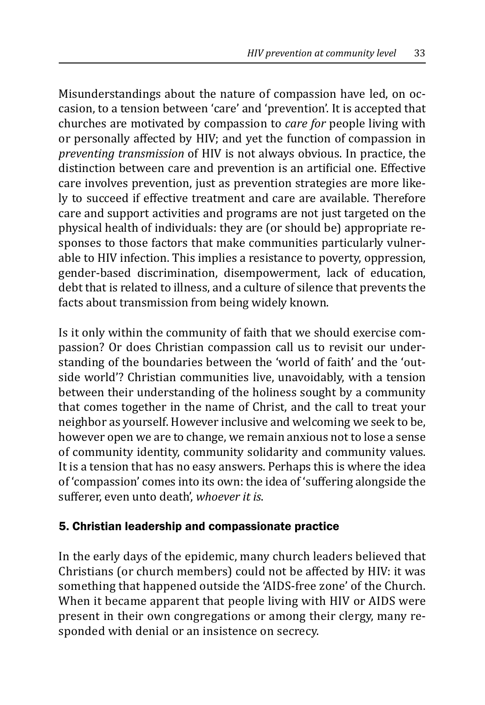Misunderstandings about the nature of compassion have led, on occasion, to a tension between 'care' and 'prevention'. It is accepted that churches are motivated by compassion to *care for* people living with or personally affected by HIV; and yet the function of compassion in *preventing transmission* of HIV is not always obvious. In practice, the distinction between care and prevention is an artificial one. Effective care involves prevention, just as prevention strategies are more likely to succeed if effective treatment and care are available. Therefore care and support activities and programs are not just targeted on the physical health of individuals: they are (or should be) appropriate responses to those factors that make communities particularly vulnerable to HIV infection. This implies a resistance to poverty, oppression, gender-based discrimination, disempowerment, lack of education, debt that is related to illness, and a culture of silence that prevents the facts about transmission from being widely known.

Is it only within the community of faith that we should exercise compassion? Or does Christian compassion call us to revisit our understanding of the boundaries between the 'world of faith' and the 'outside world'? Christian communities live, unavoidably, with a tension between their understanding of the holiness sought by a community that comes together in the name of Christ, and the call to treat your neighbor as yourself. However inclusive and welcoming we seek to be, however open we are to change, we remain anxious not to lose a sense of community identity, community solidarity and community values. It is a tension that has no easy answers. Perhaps this is where the idea of 'compassion' comes into its own: the idea of 'suffering alongside the sufferer, even unto death', *whoever it is*.

### 5. Christian leadership and compassionate practice

In the early days of the epidemic, many church leaders believed that Christians (or church members) could not be affected by HIV: it was something that happened outside the 'AIDS-free zone' of the Church. When it became apparent that people living with HIV or AIDS were present in their own congregations or among their clergy, many responded with denial or an insistence on secrecy.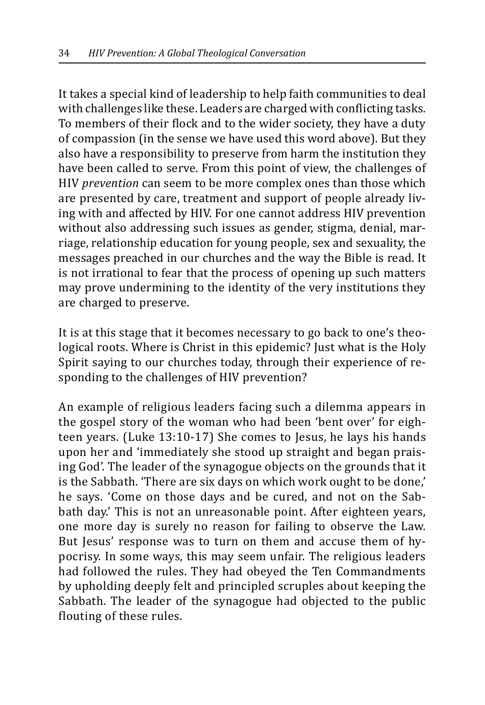It takes a special kind of leadership to help faith communities to deal with challenges like these. Leaders are charged with conflicting tasks. To members of their flock and to the wider society, they have a duty of compassion (in the sense we have used this word above). But they also have a responsibility to preserve from harm the institution they have been called to serve. From this point of view, the challenges of HIV *prevention* can seem to be more complex ones than those which are presented by care, treatment and support of people already living with and affected by HIV. For one cannot address HIV prevention without also addressing such issues as gender, stigma, denial, marriage, relationship education for young people, sex and sexuality, the messages preached in our churches and the way the Bible is read. It is not irrational to fear that the process of opening up such matters may prove undermining to the identity of the very institutions they are charged to preserve.

It is at this stage that it becomes necessary to go back to one's theological roots. Where is Christ in this epidemic? Just what is the Holy Spirit saying to our churches today, through their experience of responding to the challenges of HIV prevention?

An example of religious leaders facing such a dilemma appears in the gospel story of the woman who had been 'bent over' for eighteen years. (Luke 13:10-17) She comes to Jesus, he lays his hands upon her and 'immediately she stood up straight and began praising God'. The leader of the synagogue objects on the grounds that it is the Sabbath. 'There are six days on which work ought to be done,' he says. 'Come on those days and be cured, and not on the Sabbath day.' This is not an unreasonable point. After eighteen years, one more day is surely no reason for failing to observe the Law. But Jesus' response was to turn on them and accuse them of hypocrisy. In some ways, this may seem unfair. The religious leaders had followed the rules. They had obeyed the Ten Commandments by upholding deeply felt and principled scruples about keeping the Sabbath. The leader of the synagogue had objected to the public flouting of these rules.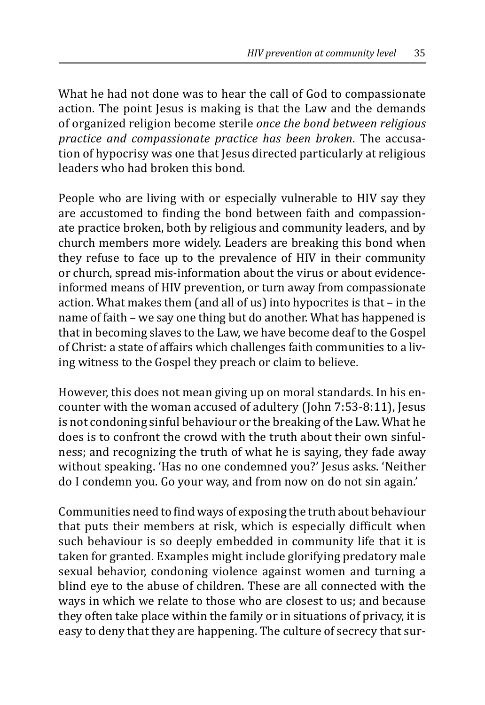What he had not done was to hear the call of God to compassionate action. The point Jesus is making is that the Law and the demands of organized religion become sterile *once the bond between religious practice and compassionate practice has been broken*. The accusation of hypocrisy was one that Jesus directed particularly at religious leaders who had broken this bond.

People who are living with or especially vulnerable to HIV say they are accustomed to finding the bond between faith and compassionate practice broken, both by religious and community leaders, and by church members more widely. Leaders are breaking this bond when they refuse to face up to the prevalence of HIV in their community or church, spread mis-information about the virus or about evidenceinformed means of HIV prevention, or turn away from compassionate action. What makes them (and all of us) into hypocrites is that – in the name of faith – we say one thing but do another. What has happened is that in becoming slaves to the Law, we have become deaf to the Gospel of Christ: a state of affairs which challenges faith communities to a living witness to the Gospel they preach or claim to believe.

However, this does not mean giving up on moral standards. In his encounter with the woman accused of adultery (John 7:53-8:11), Jesus is not condoning sinful behaviour or the breaking of the Law. What he does is to confront the crowd with the truth about their own sinfulness; and recognizing the truth of what he is saying, they fade away without speaking. 'Has no one condemned you?' Jesus asks. 'Neither do I condemn you. Go your way, and from now on do not sin again.'

Communities need to find ways of exposing the truth about behaviour that puts their members at risk, which is especially difficult when such behaviour is so deeply embedded in community life that it is taken for granted. Examples might include glorifying predatory male sexual behavior, condoning violence against women and turning a blind eye to the abuse of children. These are all connected with the ways in which we relate to those who are closest to us; and because they often take place within the family or in situations of privacy, it is easy to deny that they are happening. The culture of secrecy that sur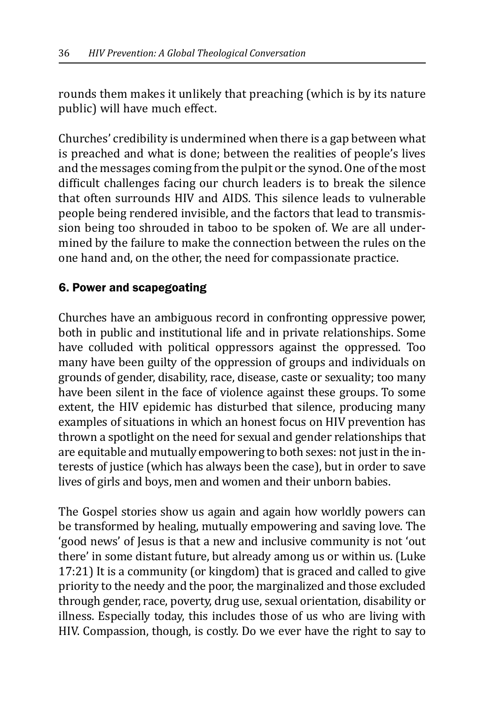rounds them makes it unlikely that preaching (which is by its nature public) will have much effect.

Churches' credibility is undermined when there is a gap between what is preached and what is done; between the realities of people's lives and the messages coming from the pulpit or the synod. One of the most difficult challenges facing our church leaders is to break the silence that often surrounds HIV and AIDS. This silence leads to vulnerable people being rendered invisible, and the factors that lead to transmission being too shrouded in taboo to be spoken of. We are all undermined by the failure to make the connection between the rules on the one hand and, on the other, the need for compassionate practice.

## 6. Power and scapegoating

Churches have an ambiguous record in confronting oppressive power, both in public and institutional life and in private relationships. Some have colluded with political oppressors against the oppressed. Too many have been guilty of the oppression of groups and individuals on grounds of gender, disability, race, disease, caste or sexuality; too many have been silent in the face of violence against these groups. To some extent, the HIV epidemic has disturbed that silence, producing many examples of situations in which an honest focus on HIV prevention has thrown a spotlight on the need for sexual and gender relationships that are equitable and mutually empowering to both sexes: not just in the interests of justice (which has always been the case), but in order to save lives of girls and boys, men and women and their unborn babies.

The Gospel stories show us again and again how worldly powers can be transformed by healing, mutually empowering and saving love. The 'good news' of Jesus is that a new and inclusive community is not 'out there' in some distant future, but already among us or within us. (Luke 17:21) It is a community (or kingdom) that is graced and called to give priority to the needy and the poor, the marginalized and those excluded through gender, race, poverty, drug use, sexual orientation, disability or illness. Especially today, this includes those of us who are living with HIV. Compassion, though, is costly. Do we ever have the right to say to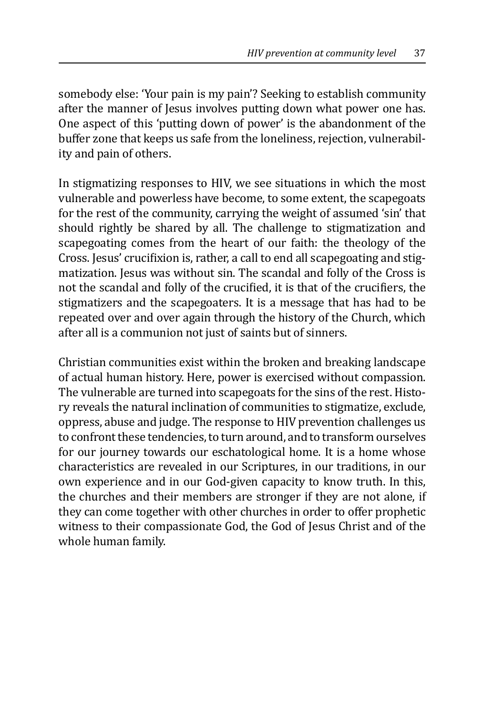somebody else: 'Your pain is my pain'? Seeking to establish community after the manner of Jesus involves putting down what power one has. One aspect of this 'putting down of power' is the abandonment of the buffer zone that keeps us safe from the loneliness, rejection, vulnerability and pain of others.

In stigmatizing responses to HIV, we see situations in which the most vulnerable and powerless have become, to some extent, the scapegoats for the rest of the community, carrying the weight of assumed 'sin' that should rightly be shared by all. The challenge to stigmatization and scapegoating comes from the heart of our faith: the theology of the Cross. Jesus' crucifixion is, rather, a call to end all scapegoating and stigmatization. Jesus was without sin. The scandal and folly of the Cross is not the scandal and folly of the crucified, it is that of the crucifiers, the stigmatizers and the scapegoaters. It is a message that has had to be repeated over and over again through the history of the Church, which after all is a communion not just of saints but of sinners.

Christian communities exist within the broken and breaking landscape of actual human history. Here, power is exercised without compassion. The vulnerable are turned into scapegoats for the sins of the rest. History reveals the natural inclination of communities to stigmatize, exclude, oppress, abuse and judge. The response to HIV prevention challenges us to confront these tendencies, to turn around, and to transform ourselves for our journey towards our eschatological home. It is a home whose characteristics are revealed in our Scriptures, in our traditions, in our own experience and in our God-given capacity to know truth. In this, the churches and their members are stronger if they are not alone, if they can come together with other churches in order to offer prophetic witness to their compassionate God, the God of Jesus Christ and of the whole human family.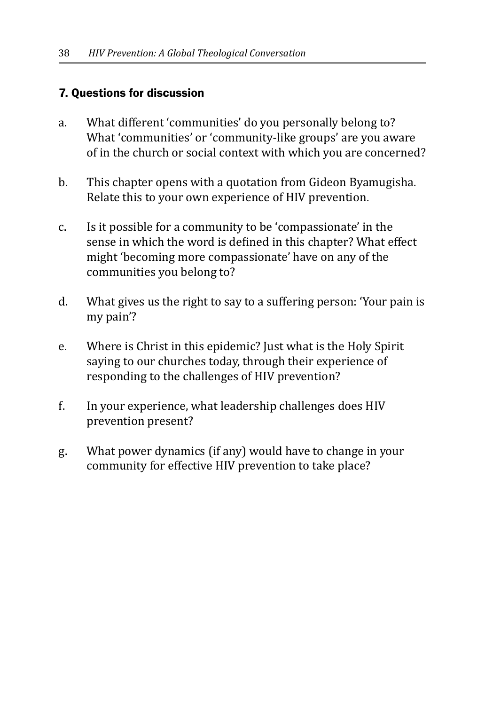#### 7. Questions for discussion

- a. What different 'communities' do you personally belong to? What 'communities' or 'community-like groups' are you aware of in the church or social context with which you are concerned?
- b. This chapter opens with a quotation from Gideon Byamugisha. Relate this to your own experience of HIV prevention.
- c. Is it possible for a community to be 'compassionate' in the sense in which the word is defined in this chapter? What effect might 'becoming more compassionate' have on any of the communities you belong to?
- d. What gives us the right to say to a suffering person: 'Your pain is my pain'?
- e. Where is Christ in this epidemic? Just what is the Holy Spirit saying to our churches today, through their experience of responding to the challenges of HIV prevention?
- f. In your experience, what leadership challenges does HIV prevention present?
- g. What power dynamics (if any) would have to change in your community for effective HIV prevention to take place?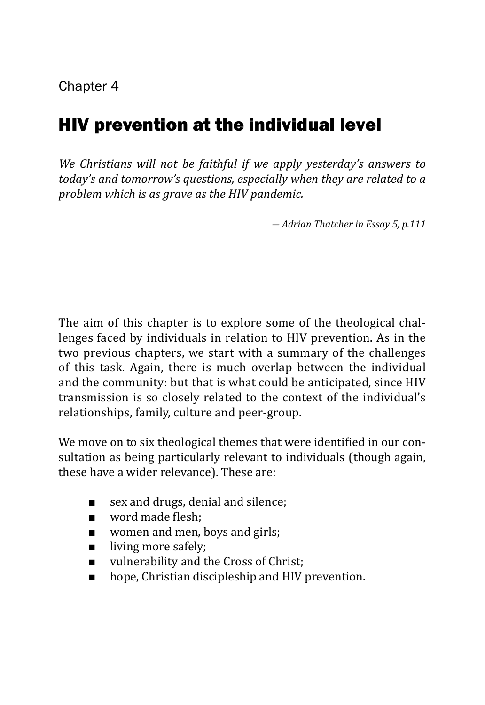## Chapter 4

# HIV prevention at the individual level

*We Christians will not be faithful if we apply yesterday's answers to today's and tomorrow's questions, especially when they are related to a problem which is as grave as the HIV pandemic.*

*― Adrian Thatcher in Essay 5, p.111*

The aim of this chapter is to explore some of the theological challenges faced by individuals in relation to HIV prevention. As in the two previous chapters, we start with a summary of the challenges of this task. Again, there is much overlap between the individual and the community: but that is what could be anticipated, since HIV transmission is so closely related to the context of the individual's relationships, family, culture and peer-group.

We move on to six theological themes that were identified in our consultation as being particularly relevant to individuals (though again, these have a wider relevance). These are:

- sex and drugs, denial and silence;
- word made flesh:
- women and men, boys and girls;
- living more safely;
- vulnerability and the Cross of Christ;
- hope, Christian discipleship and HIV prevention.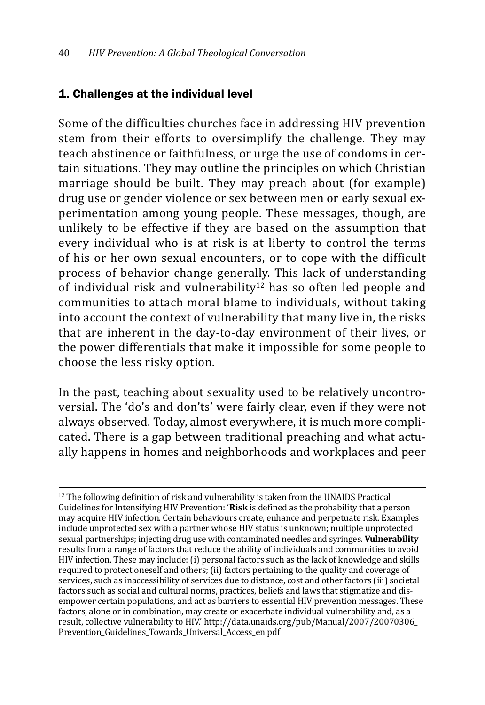### 1. Challenges at the individual level

Some of the difficulties churches face in addressing HIV prevention stem from their efforts to oversimplify the challenge. They may teach abstinence or faithfulness, or urge the use of condoms in certain situations. They may outline the principles on which Christian marriage should be built. They may preach about (for example) drug use or gender violence or sex between men or early sexual experimentation among young people. These messages, though, are unlikely to be effective if they are based on the assumption that every individual who is at risk is at liberty to control the terms of his or her own sexual encounters, or to cope with the difficult process of behavior change generally. This lack of understanding of individual risk and vulnerability<sup>12</sup> has so often led people and communities to attach moral blame to individuals, without taking into account the context of vulnerability that many live in, the risks that are inherent in the day-to-day environment of their lives, or the power differentials that make it impossible for some people to choose the less risky option.

In the past, teaching about sexuality used to be relatively uncontroversial. The 'do's and don'ts' were fairly clear, even if they were not always observed. Today, almost everywhere, it is much more complicated. There is a gap between traditional preaching and what actually happens in homes and neighborhoods and workplaces and peer

<sup>&</sup>lt;sup>12</sup> The following definition of risk and vulnerability is taken from the UNAIDS Practical Guidelines for Intensifying HIV Prevention: '**Risk** is defined as the probability that a person may acquire HIV infection. Certain behaviours create, enhance and perpetuate risk. Examples include unprotected sex with a partner whose HIV status is unknown; multiple unprotected sexual partnerships; injecting drug use with contaminated needles and syringes. **Vulnerability** results from a range of factors that reduce the ability of individuals and communities to avoid HIV infection. These may include: (i) personal factors such as the lack of knowledge and skills required to protect oneself and others; (ii) factors pertaining to the quality and coverage of services, such as inaccessibility of services due to distance, cost and other factors (iii) societal factors such as social and cultural norms, practices, beliefs and laws that stigmatize and disempower certain populations, and act as barriers to essential HIV prevention messages. These factors, alone or in combination, may create or exacerbate individual vulnerability and, as a result, collective vulnerability to HIV.' http://data.unaids.org/pub/Manual/2007/20070306\_ Prevention\_Guidelines\_Towards\_Universal\_Access\_en.pdf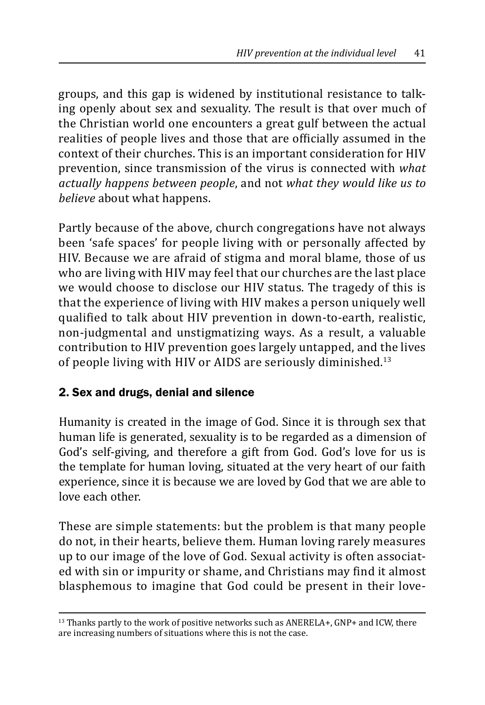groups, and this gap is widened by institutional resistance to talking openly about sex and sexuality. The result is that over much of the Christian world one encounters a great gulf between the actual realities of people lives and those that are officially assumed in the context of their churches. This is an important consideration for HIV prevention, since transmission of the virus is connected with *what actually happens between people*, and not *what they would like us to believe* about what happens.

Partly because of the above, church congregations have not always been 'safe spaces' for people living with or personally affected by HIV. Because we are afraid of stigma and moral blame, those of us who are living with HIV may feel that our churches are the last place we would choose to disclose our HIV status. The tragedy of this is that the experience of living with HIV makes a person uniquely well qualified to talk about HIV prevention in down-to-earth, realistic, non-judgmental and unstigmatizing ways. As a result, a valuable contribution to HIV prevention goes largely untapped, and the lives of people living with HIV or AIDS are seriously diminished.<sup>13</sup>

### 2. Sex and drugs, denial and silence

Humanity is created in the image of God. Since it is through sex that human life is generated, sexuality is to be regarded as a dimension of God's self-giving, and therefore a gift from God. God's love for us is the template for human loving, situated at the very heart of our faith experience, since it is because we are loved by God that we are able to love each other.

These are simple statements: but the problem is that many people do not, in their hearts, believe them. Human loving rarely measures up to our image of the love of God. Sexual activity is often associated with sin or impurity or shame, and Christians may find it almost blasphemous to imagine that God could be present in their love-

 $13$  Thanks partly to the work of positive networks such as ANERELA+, GNP+ and ICW, there are increasing numbers of situations where this is not the case.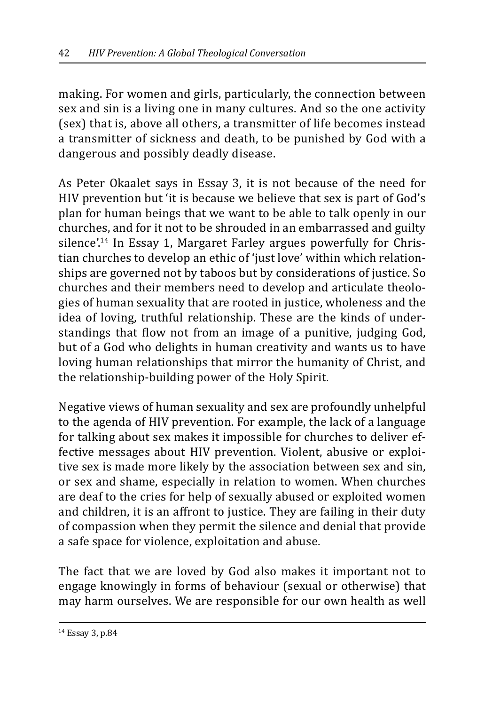making. For women and girls, particularly, the connection between sex and sin is a living one in many cultures. And so the one activity (sex) that is, above all others, a transmitter of life becomes instead a transmitter of sickness and death, to be punished by God with a dangerous and possibly deadly disease.

As Peter Okaalet says in Essay 3, it is not because of the need for HIV prevention but 'it is because we believe that sex is part of God's plan for human beings that we want to be able to talk openly in our churches, and for it not to be shrouded in an embarrassed and guilty silence'.<sup>14</sup> In Essay 1, Margaret Farley argues powerfully for Christian churches to develop an ethic of 'just love' within which relationships are governed not by taboos but by considerations of justice. So churches and their members need to develop and articulate theologies of human sexuality that are rooted in justice, wholeness and the idea of loving, truthful relationship. These are the kinds of understandings that flow not from an image of a punitive, judging God, but of a God who delights in human creativity and wants us to have loving human relationships that mirror the humanity of Christ, and the relationship-building power of the Holy Spirit.

Negative views of human sexuality and sex are profoundly unhelpful to the agenda of HIV prevention. For example, the lack of a language for talking about sex makes it impossible for churches to deliver effective messages about HIV prevention. Violent, abusive or exploitive sex is made more likely by the association between sex and sin, or sex and shame, especially in relation to women. When churches are deaf to the cries for help of sexually abused or exploited women and children, it is an affront to justice. They are failing in their duty of compassion when they permit the silence and denial that provide a safe space for violence, exploitation and abuse.

The fact that we are loved by God also makes it important not to engage knowingly in forms of behaviour (sexual or otherwise) that may harm ourselves. We are responsible for our own health as well

<sup>14</sup> Essay 3, p.84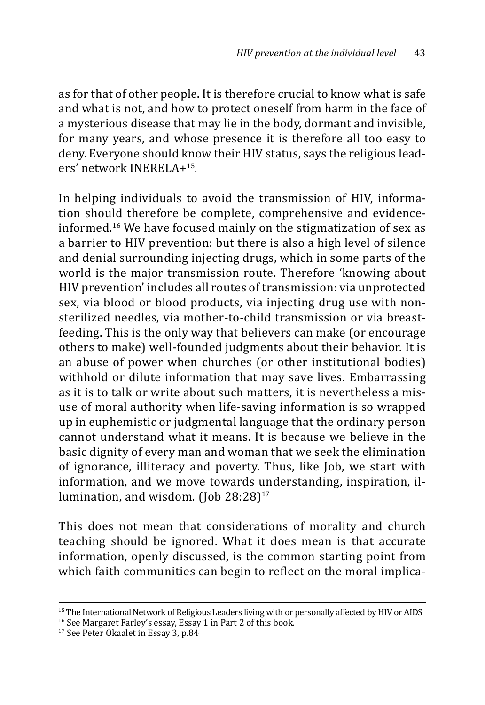as for that of other people. It is therefore crucial to know what is safe and what is not, and how to protect oneself from harm in the face of a mysterious disease that may lie in the body, dormant and invisible, for many years, and whose presence it is therefore all too easy to deny. Everyone should know their HIV status, says the religious leaders' network INERELA+15.

In helping individuals to avoid the transmission of HIV, information should therefore be complete, comprehensive and evidenceinformed.16 We have focused mainly on the stigmatization of sex as a barrier to HIV prevention: but there is also a high level of silence and denial surrounding injecting drugs, which in some parts of the world is the major transmission route. Therefore 'knowing about HIV prevention' includes all routes of transmission: via unprotected sex, via blood or blood products, via injecting drug use with nonsterilized needles, via mother-to-child transmission or via breastfeeding. This is the only way that believers can make (or encourage others to make) well-founded judgments about their behavior. It is an abuse of power when churches (or other institutional bodies) withhold or dilute information that may save lives. Embarrassing as it is to talk or write about such matters, it is nevertheless a misuse of moral authority when life-saving information is so wrapped up in euphemistic or judgmental language that the ordinary person cannot understand what it means. It is because we believe in the basic dignity of every man and woman that we seek the elimination of ignorance, illiteracy and poverty. Thus, like Job, we start with information, and we move towards understanding, inspiration, illumination, and wisdom. (Job 28:28)<sup>17</sup>

This does not mean that considerations of morality and church teaching should be ignored. What it does mean is that accurate information, openly discussed, is the common starting point from which faith communities can begin to reflect on the moral implica-

<sup>&</sup>lt;sup>15</sup> The International Network of Religious Leaders living with or personally affected by HIV or AIDS

<sup>&</sup>lt;sup>16</sup> See Margaret Farley's essay, Essay 1 in Part 2 of this book.

<sup>&</sup>lt;sup>17</sup> See Peter Okaalet in Essay 3, p.84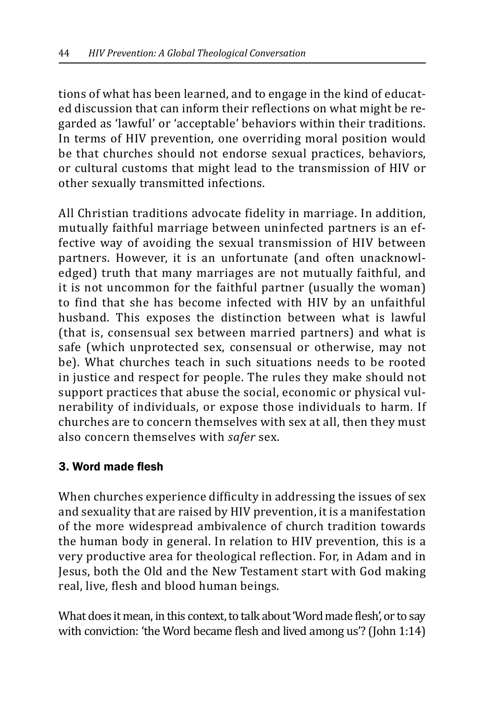tions of what has been learned, and to engage in the kind of educated discussion that can inform their reflections on what might be regarded as 'lawful' or 'acceptable' behaviors within their traditions. In terms of HIV prevention, one overriding moral position would be that churches should not endorse sexual practices, behaviors, or cultural customs that might lead to the transmission of HIV or other sexually transmitted infections.

All Christian traditions advocate fidelity in marriage. In addition, mutually faithful marriage between uninfected partners is an effective way of avoiding the sexual transmission of HIV between partners. However, it is an unfortunate (and often unacknowledged) truth that many marriages are not mutually faithful, and it is not uncommon for the faithful partner (usually the woman) to find that she has become infected with HIV by an unfaithful husband. This exposes the distinction between what is lawful (that is, consensual sex between married partners) and what is safe (which unprotected sex, consensual or otherwise, may not be). What churches teach in such situations needs to be rooted in justice and respect for people. The rules they make should not support practices that abuse the social, economic or physical vulnerability of individuals, or expose those individuals to harm. If churches are to concern themselves with sex at all, then they must also concern themselves with *safer* sex.

## 3. Word made flesh

When churches experience difficulty in addressing the issues of sex and sexuality that are raised by HIV prevention, it is a manifestation of the more widespread ambivalence of church tradition towards the human body in general. In relation to HIV prevention, this is a very productive area for theological reflection. For, in Adam and in Jesus, both the Old and the New Testament start with God making real, live, flesh and blood human beings.

What does it mean, in this context, to talk about 'Word made flesh', or to say with conviction: 'the Word became flesh and lived among us'? (John 1:14)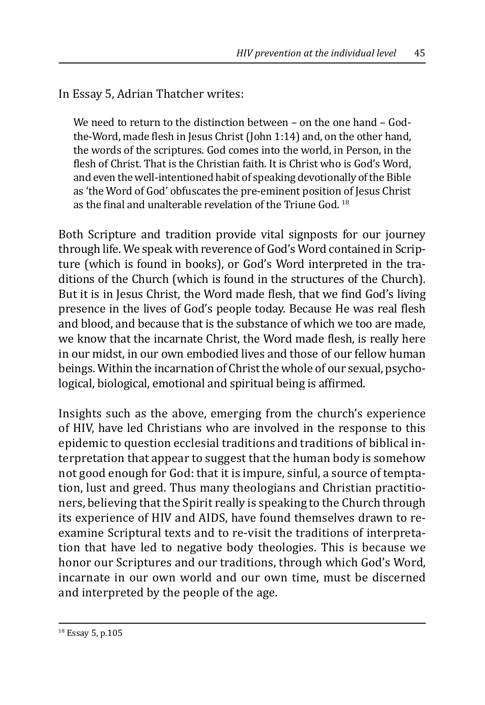In Essay 5, Adrian Thatcher writes:

We need to return to the distinction between – on the one hand – Godthe-Word, made flesh in Jesus Christ (John 1:14) and, on the other hand, the words of the scriptures. God comes into the world, in Person, in the flesh of Christ. That is the Christian faith. It is Christ who is God's Word, and even the well-intentioned habit of speaking devotionally of the Bible as 'the Word of God' obfuscates the pre-eminent position of Jesus Christ as the final and unalterable revelation of the Triune God. 18

Both Scripture and tradition provide vital signposts for our journey through life. We speak with reverence of God's Word contained in Scripture (which is found in books), or God's Word interpreted in the traditions of the Church (which is found in the structures of the Church). But it is in Jesus Christ, the Word made flesh, that we find God's living presence in the lives of God's people today. Because He was real flesh and blood, and because that is the substance of which we too are made, we know that the incarnate Christ, the Word made flesh, is really here in our midst, in our own embodied lives and those of our fellow human beings. Within the incarnation of Christ the whole of our sexual, psychological, biological, emotional and spiritual being is affirmed.

Insights such as the above, emerging from the church's experience of HIV, have led Christians who are involved in the response to this epidemic to question ecclesial traditions and traditions of biblical interpretation that appear to suggest that the human body is somehow not good enough for God: that it is impure, sinful, a source of temptation, lust and greed. Thus many theologians and Christian practitioners, believing that the Spirit really is speaking to the Church through its experience of HIV and AIDS, have found themselves drawn to reexamine Scriptural texts and to re-visit the traditions of interpretation that have led to negative body theologies. This is because we honor our Scriptures and our traditions, through which God's Word, incarnate in our own world and our own time, must be discerned and interpreted by the people of the age.

<sup>18</sup> Essay 5, p.105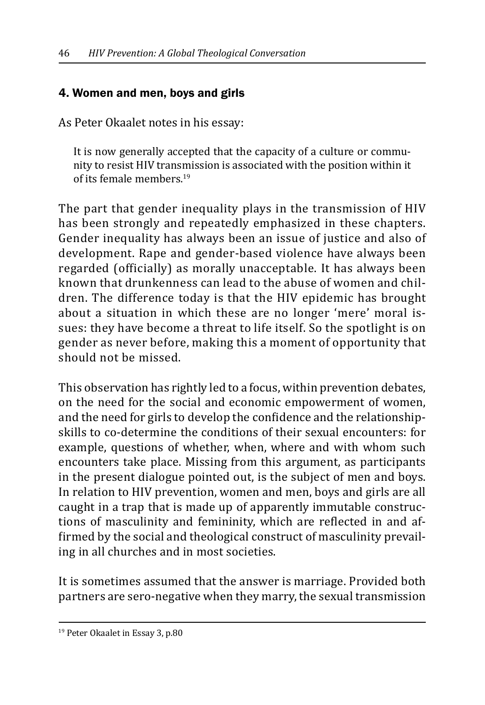### 4. Women and men, boys and girls

As Peter Okaalet notes in his essay:

It is now generally accepted that the capacity of a culture or community to resist HIV transmission is associated with the position within it of its female members.<sup>19</sup>

The part that gender inequality plays in the transmission of HIV has been strongly and repeatedly emphasized in these chapters. Gender inequality has always been an issue of justice and also of development. Rape and gender-based violence have always been regarded (officially) as morally unacceptable. It has always been known that drunkenness can lead to the abuse of women and children. The difference today is that the HIV epidemic has brought about a situation in which these are no longer 'mere' moral issues: they have become a threat to life itself. So the spotlight is on gender as never before, making this a moment of opportunity that should not be missed.

This observation has rightly led to a focus, within prevention debates, on the need for the social and economic empowerment of women, and the need for girls to develop the confidence and the relationshipskills to co-determine the conditions of their sexual encounters: for example, questions of whether, when, where and with whom such encounters take place. Missing from this argument, as participants in the present dialogue pointed out, is the subject of men and boys. In relation to HIV prevention, women and men, boys and girls are all caught in a trap that is made up of apparently immutable constructions of masculinity and femininity, which are reflected in and affirmed by the social and theological construct of masculinity prevailing in all churches and in most societies.

It is sometimes assumed that the answer is marriage. Provided both partners are sero-negative when they marry, the sexual transmission

<sup>19</sup> Peter Okaalet in Essay 3, p.80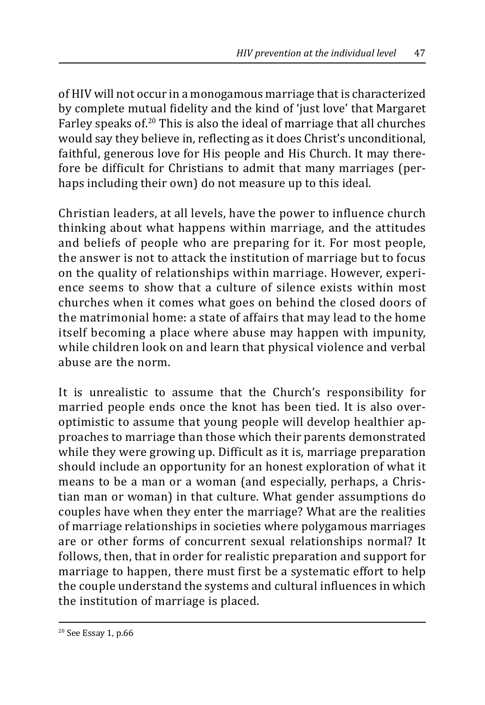of HIV will not occur in a monogamous marriage that is characterized by complete mutual fidelity and the kind of 'just love' that Margaret Farley speaks of.<sup>20</sup> This is also the ideal of marriage that all churches would say they believe in, reflecting as it does Christ's unconditional, faithful, generous love for His people and His Church. It may therefore be difficult for Christians to admit that many marriages (perhaps including their own) do not measure up to this ideal.

Christian leaders, at all levels, have the power to influence church thinking about what happens within marriage, and the attitudes and beliefs of people who are preparing for it. For most people, the answer is not to attack the institution of marriage but to focus on the quality of relationships within marriage. However, experience seems to show that a culture of silence exists within most churches when it comes what goes on behind the closed doors of the matrimonial home: a state of affairs that may lead to the home itself becoming a place where abuse may happen with impunity, while children look on and learn that physical violence and verbal abuse are the norm.

It is unrealistic to assume that the Church's responsibility for married people ends once the knot has been tied. It is also overoptimistic to assume that young people will develop healthier approaches to marriage than those which their parents demonstrated while they were growing up. Difficult as it is, marriage preparation should include an opportunity for an honest exploration of what it means to be a man or a woman (and especially, perhaps, a Christian man or woman) in that culture. What gender assumptions do couples have when they enter the marriage? What are the realities of marriage relationships in societies where polygamous marriages are or other forms of concurrent sexual relationships normal? It follows, then, that in order for realistic preparation and support for marriage to happen, there must first be a systematic effort to help the couple understand the systems and cultural influences in which the institution of marriage is placed.

<sup>20</sup> See Essay 1, p.66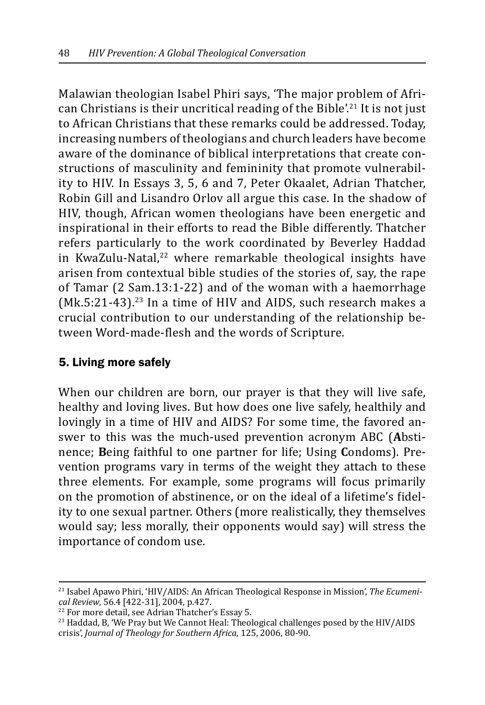Malawian theologian Isabel Phiri says, 'The major problem of African Christians is their uncritical reading of the Bible'.21 It is not just to African Christians that these remarks could be addressed. Today, increasing numbers of theologians and church leaders have become aware of the dominance of biblical interpretations that create constructions of masculinity and femininity that promote vulnerability to HIV. In Essays 3, 5, 6 and 7, Peter Okaalet, Adrian Thatcher, Robin Gill and Lisandro Orlov all argue this case. In the shadow of HIV, though, African women theologians have been energetic and inspirational in their efforts to read the Bible differently. Thatcher refers particularly to the work coordinated by Beverley Haddad in KwaZulu-Natal,<sup>22</sup> where remarkable theological insights have arisen from contextual bible studies of the stories of, say, the rape of Tamar (2 Sam.13:1-22) and of the woman with a haemorrhage  $(Mk.5:21-43).<sup>23</sup>$  In a time of HIV and AIDS, such research makes a crucial contribution to our understanding of the relationship between Word-made-flesh and the words of Scripture.

### 5. Living more safely

When our children are born, our prayer is that they will live safe, healthy and loving lives. But how does one live safely, healthily and lovingly in a time of HIV and AIDS? For some time, the favored answer to this was the much-used prevention acronym ABC (**A**bstinence; **B**eing faithful to one partner for life; Using **C**ondoms). Prevention programs vary in terms of the weight they attach to these three elements. For example, some programs will focus primarily on the promotion of abstinence, or on the ideal of a lifetime's fidelity to one sexual partner. Others (more realistically, they themselves would say; less morally, their opponents would say) will stress the importance of condom use.

<sup>21</sup> Isabel Apawo Phiri, 'HIV/AIDS: An African Theological Response in Mission', *The Ecumenical Review*, 56.4 [422-31], 2004, p.427.

<sup>&</sup>lt;sup>22</sup> For more detail, see Adrian Thatcher's Essay 5.

<sup>&</sup>lt;sup>23</sup> Haddad, B, 'We Pray but We Cannot Heal: Theological challenges posed by the HIV/AIDS crisis', *Journal of Theology for Southern Africa*, 125, 2006, 80-90.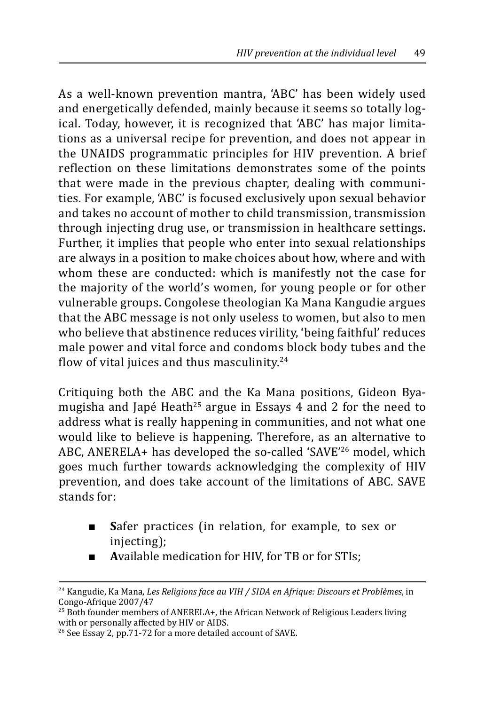As a well-known prevention mantra, 'ABC' has been widely used and energetically defended, mainly because it seems so totally logical. Today, however, it is recognized that 'ABC' has major limitations as a universal recipe for prevention, and does not appear in the UNAIDS programmatic principles for HIV prevention. A brief reflection on these limitations demonstrates some of the points that were made in the previous chapter, dealing with communities. For example, 'ABC' is focused exclusively upon sexual behavior and takes no account of mother to child transmission, transmission through injecting drug use, or transmission in healthcare settings. Further, it implies that people who enter into sexual relationships are always in a position to make choices about how, where and with whom these are conducted: which is manifestly not the case for the majority of the world's women, for young people or for other vulnerable groups. Congolese theologian Ka Mana Kangudie argues that the ABC message is not only useless to women, but also to men who believe that abstinence reduces virility, 'being faithful' reduces male power and vital force and condoms block body tubes and the flow of vital juices and thus masculinity.<sup>24</sup>

Critiquing both the ABC and the Ka Mana positions, Gideon Byamugisha and Japé Heath<sup>25</sup> argue in Essays 4 and 2 for the need to address what is really happening in communities, and not what one would like to believe is happening. Therefore, as an alternative to ABC, ANERELA+ has developed the so-called 'SAVE'26 model, which goes much further towards acknowledging the complexity of HIV prevention, and does take account of the limitations of ABC. SAVE stands for:

- **Safer practices (in relation, for example, to sex or** injecting);
- **Available medication for HIV, for TB or for STIs;**

<sup>24</sup> Kangudie, Ka Mana, *Les Religions face au VIH / SIDA en Afrique: Discours et Problèmes*, in Congo-Afrique 2007/47

<sup>25</sup> Both founder members of ANERELA+, the African Network of Religious Leaders living with or personally affected by HIV or AIDS.

<sup>26</sup> See Essay 2, pp.71-72 for a more detailed account of SAVE.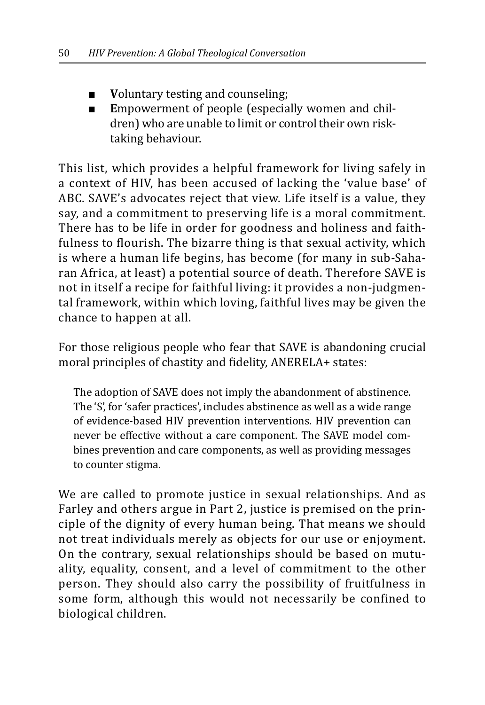- **Voluntary testing and counseling;**
- **E**mpowerment of people (especially women and children) who are unable to limit or control their own risktaking behaviour.

This list, which provides a helpful framework for living safely in a context of HIV, has been accused of lacking the 'value base' of ABC. SAVE's advocates reject that view. Life itself is a value, they say, and a commitment to preserving life is a moral commitment. There has to be life in order for goodness and holiness and faithfulness to flourish. The bizarre thing is that sexual activity, which is where a human life begins, has become (for many in sub-Saharan Africa, at least) a potential source of death. Therefore SAVE is not in itself a recipe for faithful living: it provides a non-judgmental framework, within which loving, faithful lives may be given the chance to happen at all.

For those religious people who fear that SAVE is abandoning crucial moral principles of chastity and fidelity, ANERELA+ states:

The adoption of SAVE does not imply the abandonment of abstinence. The 'S', for 'safer practices', includes abstinence as well as a wide range of evidence-based HIV prevention interventions. HIV prevention can never be effective without a care component. The SAVE model combines prevention and care components, as well as providing messages to counter stigma.

We are called to promote justice in sexual relationships. And as Farley and others argue in Part 2, justice is premised on the principle of the dignity of every human being. That means we should not treat individuals merely as objects for our use or enjoyment. On the contrary, sexual relationships should be based on mutuality, equality, consent, and a level of commitment to the other person. They should also carry the possibility of fruitfulness in some form, although this would not necessarily be confined to biological children.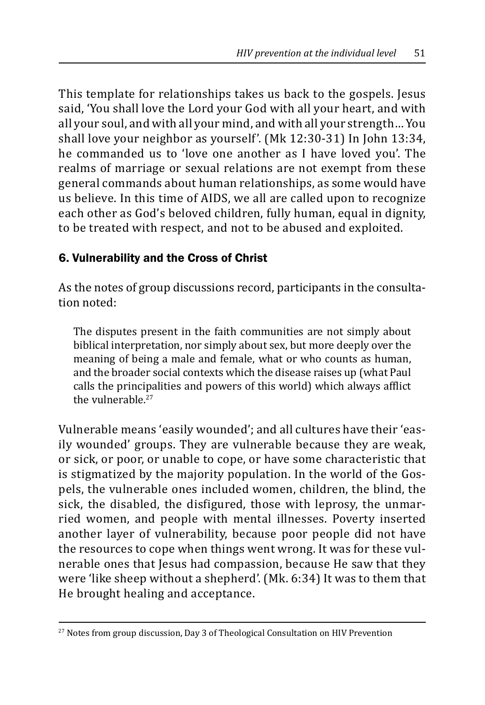This template for relationships takes us back to the gospels. Jesus said, 'You shall love the Lord your God with all your heart, and with all your soul, and with all your mind, and with all your strength… You shall love your neighbor as yourself'. (Mk 12:30-31) In John 13:34, he commanded us to 'love one another as I have loved you'. The realms of marriage or sexual relations are not exempt from these general commands about human relationships, as some would have us believe. In this time of AIDS, we all are called upon to recognize each other as God's beloved children, fully human, equal in dignity, to be treated with respect, and not to be abused and exploited.

### 6. Vulnerability and the Cross of Christ

As the notes of group discussions record, participants in the consultation noted:

The disputes present in the faith communities are not simply about biblical interpretation, nor simply about sex, but more deeply over the meaning of being a male and female, what or who counts as human, and the broader social contexts which the disease raises up (what Paul calls the principalities and powers of this world) which always afflict the vulnerable.<sup>27</sup>

Vulnerable means 'easily wounded'; and all cultures have their 'easily wounded' groups. They are vulnerable because they are weak, or sick, or poor, or unable to cope, or have some characteristic that is stigmatized by the majority population. In the world of the Gospels, the vulnerable ones included women, children, the blind, the sick, the disabled, the disfigured, those with leprosy, the unmarried women, and people with mental illnesses. Poverty inserted another layer of vulnerability, because poor people did not have the resources to cope when things went wrong. It was for these vulnerable ones that Jesus had compassion, because He saw that they were 'like sheep without a shepherd'. (Mk. 6:34) It was to them that He brought healing and acceptance.

<sup>&</sup>lt;sup>27</sup> Notes from group discussion, Day 3 of Theological Consultation on HIV Prevention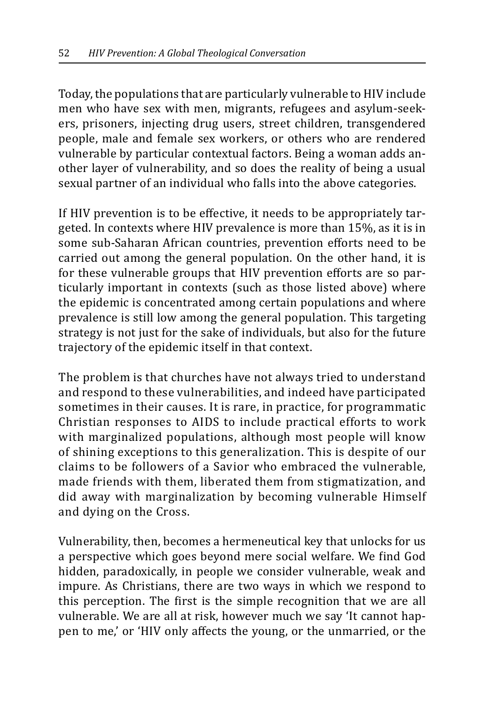Today, the populations that are particularly vulnerable to HIV include men who have sex with men, migrants, refugees and asylum-seekers, prisoners, injecting drug users, street children, transgendered people, male and female sex workers, or others who are rendered vulnerable by particular contextual factors. Being a woman adds another layer of vulnerability, and so does the reality of being a usual sexual partner of an individual who falls into the above categories.

If HIV prevention is to be effective, it needs to be appropriately targeted. In contexts where HIV prevalence is more than 15%, as it is in some sub-Saharan African countries, prevention efforts need to be carried out among the general population. On the other hand, it is for these vulnerable groups that HIV prevention efforts are so particularly important in contexts (such as those listed above) where the epidemic is concentrated among certain populations and where prevalence is still low among the general population. This targeting strategy is not just for the sake of individuals, but also for the future trajectory of the epidemic itself in that context.

The problem is that churches have not always tried to understand and respond to these vulnerabilities, and indeed have participated sometimes in their causes. It is rare, in practice, for programmatic Christian responses to AIDS to include practical efforts to work with marginalized populations, although most people will know of shining exceptions to this generalization. This is despite of our claims to be followers of a Savior who embraced the vulnerable, made friends with them, liberated them from stigmatization, and did away with marginalization by becoming vulnerable Himself and dying on the Cross.

Vulnerability, then, becomes a hermeneutical key that unlocks for us a perspective which goes beyond mere social welfare. We find God hidden, paradoxically, in people we consider vulnerable, weak and impure. As Christians, there are two ways in which we respond to this perception. The first is the simple recognition that we are all vulnerable. We are all at risk, however much we say 'It cannot happen to me,' or 'HIV only affects the young, or the unmarried, or the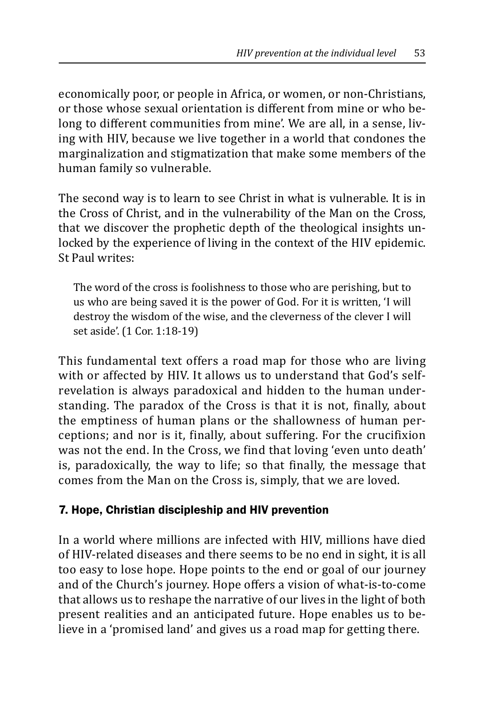economically poor, or people in Africa, or women, or non-Christians, or those whose sexual orientation is different from mine or who belong to different communities from mine'. We are all, in a sense, living with HIV, because we live together in a world that condones the marginalization and stigmatization that make some members of the human family so vulnerable.

The second way is to learn to see Christ in what is vulnerable. It is in the Cross of Christ, and in the vulnerability of the Man on the Cross, that we discover the prophetic depth of the theological insights unlocked by the experience of living in the context of the HIV epidemic. St Paul writes:

The word of the cross is foolishness to those who are perishing, but to us who are being saved it is the power of God. For it is written, 'I will destroy the wisdom of the wise, and the cleverness of the clever I will set aside'. (1 Cor. 1:18-19)

This fundamental text offers a road map for those who are living with or affected by HIV. It allows us to understand that God's selfrevelation is always paradoxical and hidden to the human understanding. The paradox of the Cross is that it is not, finally, about the emptiness of human plans or the shallowness of human perceptions; and nor is it, finally, about suffering. For the crucifixion was not the end. In the Cross, we find that loving 'even unto death' is, paradoxically, the way to life; so that finally, the message that comes from the Man on the Cross is, simply, that we are loved.

### 7. Hope, Christian discipleship and HIV prevention

In a world where millions are infected with HIV, millions have died of HIV-related diseases and there seems to be no end in sight, it is all too easy to lose hope. Hope points to the end or goal of our journey and of the Church's journey. Hope offers a vision of what-is-to-come that allows us to reshape the narrative of our lives in the light of both present realities and an anticipated future. Hope enables us to believe in a 'promised land' and gives us a road map for getting there.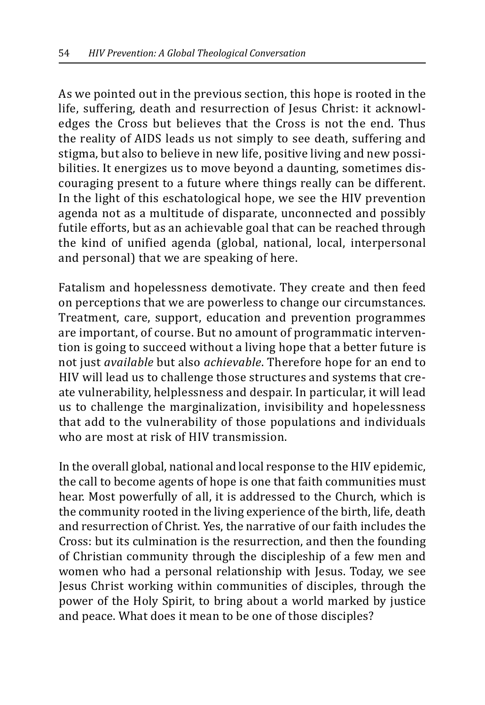As we pointed out in the previous section, this hope is rooted in the life, suffering, death and resurrection of Jesus Christ: it acknowledges the Cross but believes that the Cross is not the end. Thus the reality of AIDS leads us not simply to see death, suffering and stigma, but also to believe in new life, positive living and new possibilities. It energizes us to move beyond a daunting, sometimes discouraging present to a future where things really can be different. In the light of this eschatological hope, we see the HIV prevention agenda not as a multitude of disparate, unconnected and possibly futile efforts, but as an achievable goal that can be reached through the kind of unified agenda (global, national, local, interpersonal and personal) that we are speaking of here.

Fatalism and hopelessness demotivate. They create and then feed on perceptions that we are powerless to change our circumstances. Treatment, care, support, education and prevention programmes are important, of course. But no amount of programmatic intervention is going to succeed without a living hope that a better future is not just *available* but also *achievable*. Therefore hope for an end to HIV will lead us to challenge those structures and systems that create vulnerability, helplessness and despair. In particular, it will lead us to challenge the marginalization, invisibility and hopelessness that add to the vulnerability of those populations and individuals who are most at risk of HIV transmission.

In the overall global, national and local response to the HIV epidemic, the call to become agents of hope is one that faith communities must hear. Most powerfully of all, it is addressed to the Church, which is the community rooted in the living experience of the birth, life, death and resurrection of Christ. Yes, the narrative of our faith includes the Cross: but its culmination is the resurrection, and then the founding of Christian community through the discipleship of a few men and women who had a personal relationship with Jesus. Today, we see Jesus Christ working within communities of disciples, through the power of the Holy Spirit, to bring about a world marked by justice and peace. What does it mean to be one of those disciples?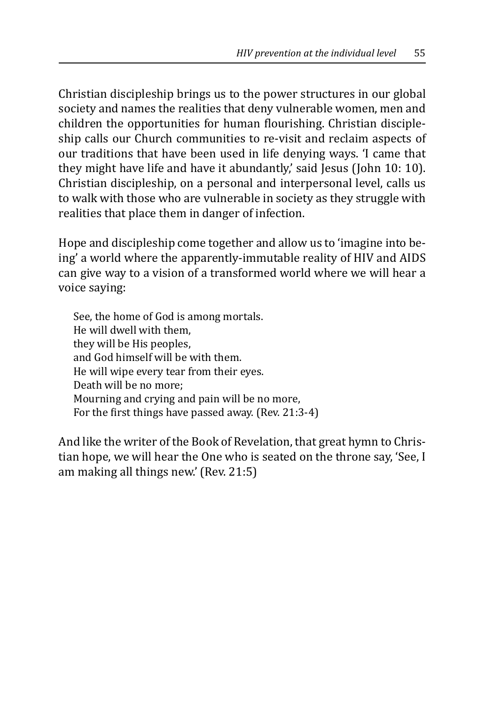Christian discipleship brings us to the power structures in our global society and names the realities that deny vulnerable women, men and children the opportunities for human flourishing. Christian discipleship calls our Church communities to re-visit and reclaim aspects of our traditions that have been used in life denying ways. 'I came that they might have life and have it abundantly,' said Jesus (John 10: 10). Christian discipleship, on a personal and interpersonal level, calls us to walk with those who are vulnerable in society as they struggle with realities that place them in danger of infection.

Hope and discipleship come together and allow us to 'imagine into being' a world where the apparently-immutable reality of HIV and AIDS can give way to a vision of a transformed world where we will hear a voice saying:

See, the home of God is among mortals. He will dwell with them, they will be His peoples, and God himself will be with them. He will wipe every tear from their eyes. Death will be no more; Mourning and crying and pain will be no more, For the first things have passed away. (Rev. 21:3-4)

And like the writer of the Book of Revelation, that great hymn to Christian hope, we will hear the One who is seated on the throne say, 'See, I am making all things new.' (Rev. 21:5)